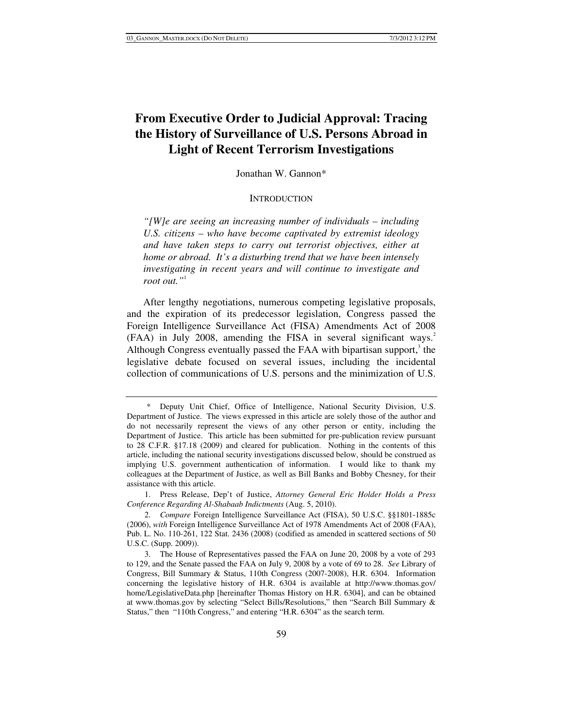# **From Executive Order to Judicial Approval: Tracing the History of Surveillance of U.S. Persons Abroad in Light of Recent Terrorism Investigations**

Jonathan W. Gannon\*

### **INTRODUCTION**

*"[W]e are seeing an increasing number of individuals – including U.S. citizens – who have become captivated by extremist ideology and have taken steps to carry out terrorist objectives, either at home or abroad. It's a disturbing trend that we have been intensely investigating in recent years and will continue to investigate and root out."*<sup>1</sup>

After lengthy negotiations, numerous competing legislative proposals, and the expiration of its predecessor legislation, Congress passed the Foreign Intelligence Surveillance Act (FISA) Amendments Act of 2008  $(FAA)$  in July 2008, amending the FISA in several significant ways.<sup>2</sup> Although Congress eventually passed the FAA with bipartisan support,<sup>3</sup> the legislative debate focused on several issues, including the incidental collection of communications of U.S. persons and the minimization of U.S.

 <sup>\*</sup> Deputy Unit Chief, Office of Intelligence, National Security Division, U.S. Department of Justice. The views expressed in this article are solely those of the author and do not necessarily represent the views of any other person or entity, including the Department of Justice. This article has been submitted for pre-publication review pursuant to 28 C.F.R. §17.18 (2009) and cleared for publication. Nothing in the contents of this article, including the national security investigations discussed below, should be construed as implying U.S. government authentication of information. I would like to thank my colleagues at the Department of Justice, as well as Bill Banks and Bobby Chesney, for their assistance with this article.

 <sup>1.</sup> Press Release, Dep't of Justice, *Attorney General Eric Holder Holds a Press Conference Regarding Al-Shabaab Indictments* (Aug. 5, 2010).

 <sup>2.</sup> *Compare* Foreign Intelligence Surveillance Act (FISA), 50 U.S.C. §§1801-1885c (2006), *with* Foreign Intelligence Surveillance Act of 1978 Amendments Act of 2008 (FAA), Pub. L. No. 110-261, 122 Stat. 2436 (2008) (codified as amended in scattered sections of 50 U.S.C. (Supp. 2009)).

 <sup>3.</sup> The House of Representatives passed the FAA on June 20, 2008 by a vote of 293 to 129, and the Senate passed the FAA on July 9, 2008 by a vote of 69 to 28. *See* Library of Congress, Bill Summary & Status, 110th Congress (2007-2008), H.R. 6304. Information concerning the legislative history of H.R. 6304 is available at http://www.thomas.gov/ home/LegislativeData.php [hereinafter Thomas History on H.R. 6304], and can be obtained at www.thomas.gov by selecting "Select Bills/Resolutions," then "Search Bill Summary & Status," then "110th Congress," and entering "H.R. 6304" as the search term.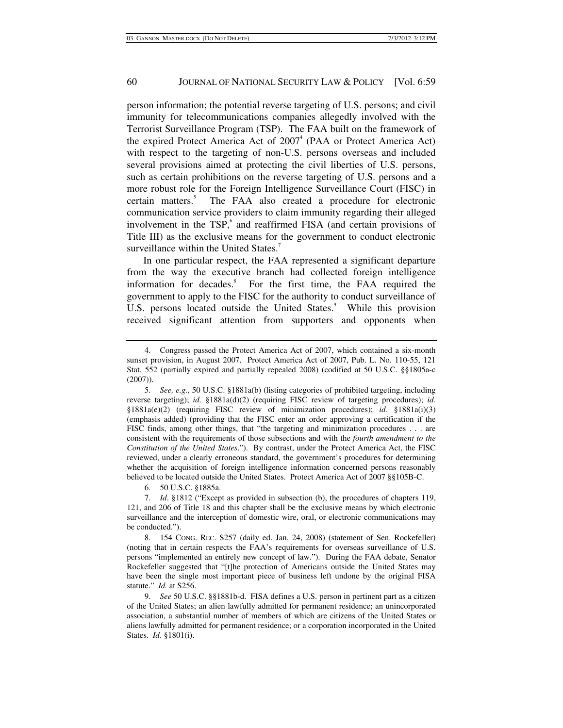person information; the potential reverse targeting of U.S. persons; and civil immunity for telecommunications companies allegedly involved with the Terrorist Surveillance Program (TSP). The FAA built on the framework of the expired Protect America Act of 2007<sup>4</sup> (PAA or Protect America Act) with respect to the targeting of non-U.S. persons overseas and included several provisions aimed at protecting the civil liberties of U.S. persons, such as certain prohibitions on the reverse targeting of U.S. persons and a more robust role for the Foreign Intelligence Surveillance Court (FISC) in certain matters.<sup>5</sup> The FAA also created a procedure for electronic communication service providers to claim immunity regarding their alleged involvement in the TSP,<sup>6</sup> and reaffirmed FISA (and certain provisions of Title III) as the exclusive means for the government to conduct electronic surveillance within the United States.<sup>7</sup>

In one particular respect, the FAA represented a significant departure from the way the executive branch had collected foreign intelligence information for decades.<sup>8</sup> For the first time, the FAA required the government to apply to the FISC for the authority to conduct surveillance of U.S. persons located outside the United States.<sup>9</sup> While this provision received significant attention from supporters and opponents when

6. 50 U.S.C. §1885a.

 <sup>4.</sup> Congress passed the Protect America Act of 2007, which contained a six-month sunset provision, in August 2007. Protect America Act of 2007, Pub. L. No. 110-55, 121 Stat. 552 (partially expired and partially repealed 2008) (codified at 50 U.S.C. §§1805a-c (2007)).

 <sup>5.</sup> *See, e.g.*, 50 U.S.C. §1881a(b) (listing categories of prohibited targeting, including reverse targeting); *id.* §1881a(d)(2) (requiring FISC review of targeting procedures); *id.* §1881a(e)(2) (requiring FISC review of minimization procedures); *id.* §1881a(i)(3) (emphasis added) (providing that the FISC enter an order approving a certification if the FISC finds, among other things, that "the targeting and minimization procedures . . . are consistent with the requirements of those subsections and with the *fourth amendment to the Constitution of the United States*."). By contrast, under the Protect America Act, the FISC reviewed, under a clearly erroneous standard, the government's procedures for determining whether the acquisition of foreign intelligence information concerned persons reasonably believed to be located outside the United States. Protect America Act of 2007 §§105B-C.

 <sup>7.</sup> *Id*. §1812 ("Except as provided in subsection (b), the procedures of chapters 119, 121, and 206 of Title 18 and this chapter shall be the exclusive means by which electronic surveillance and the interception of domestic wire, oral, or electronic communications may be conducted.").

 <sup>8. 154</sup> CONG. REC. S257 (daily ed. Jan. 24, 2008) (statement of Sen. Rockefeller) (noting that in certain respects the FAA's requirements for overseas surveillance of U.S. persons "implemented an entirely new concept of law."). During the FAA debate, Senator Rockefeller suggested that "[t]he protection of Americans outside the United States may have been the single most important piece of business left undone by the original FISA statute." *Id.* at S256.

 <sup>9.</sup> *See* 50 U.S.C. §§1881b-d. FISA defines a U.S. person in pertinent part as a citizen of the United States; an alien lawfully admitted for permanent residence; an unincorporated association, a substantial number of members of which are citizens of the United States or aliens lawfully admitted for permanent residence; or a corporation incorporated in the United States. *Id.* §1801(i).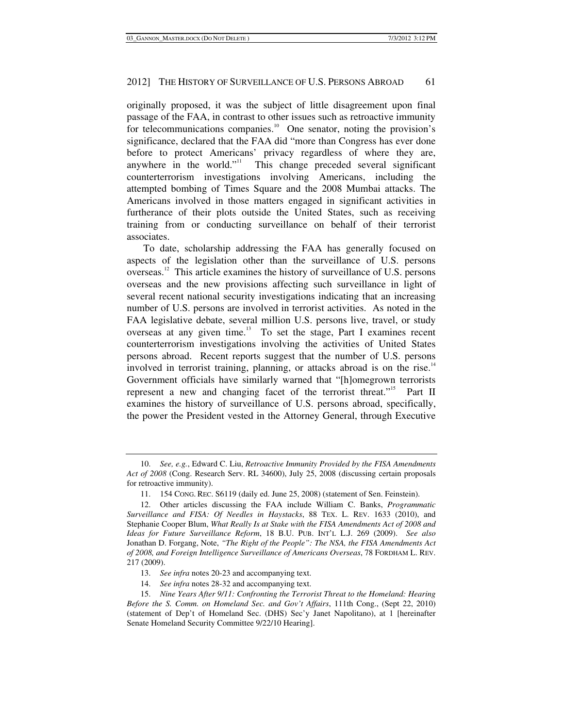originally proposed, it was the subject of little disagreement upon final passage of the FAA, in contrast to other issues such as retroactive immunity for telecommunications companies.<sup>10</sup> One senator, noting the provision's significance, declared that the FAA did "more than Congress has ever done before to protect Americans' privacy regardless of where they are, anywhere in the world."<sup>11</sup> This change preceded several significant counterterrorism investigations involving Americans, including the attempted bombing of Times Square and the 2008 Mumbai attacks. The Americans involved in those matters engaged in significant activities in furtherance of their plots outside the United States, such as receiving training from or conducting surveillance on behalf of their terrorist associates.

To date, scholarship addressing the FAA has generally focused on aspects of the legislation other than the surveillance of U.S. persons overseas.12 This article examines the history of surveillance of U.S. persons overseas and the new provisions affecting such surveillance in light of several recent national security investigations indicating that an increasing number of U.S. persons are involved in terrorist activities. As noted in the FAA legislative debate, several million U.S. persons live, travel, or study overseas at any given time.<sup>13</sup> To set the stage, Part I examines recent counterterrorism investigations involving the activities of United States persons abroad. Recent reports suggest that the number of U.S. persons involved in terrorist training, planning, or attacks abroad is on the rise.<sup>14</sup> Government officials have similarly warned that "[h]omegrown terrorists represent a new and changing facet of the terrorist threat."<sup>15</sup> Part II examines the history of surveillance of U.S. persons abroad, specifically, the power the President vested in the Attorney General, through Executive

 <sup>10.</sup> *See, e.g.*, Edward C. Liu, *Retroactive Immunity Provided by the FISA Amendments Act of 2008* (Cong. Research Serv. RL 34600), July 25, 2008 (discussing certain proposals for retroactive immunity).

 <sup>11. 154</sup> CONG. REC. S6119 (daily ed. June 25, 2008) (statement of Sen. Feinstein).

 <sup>12.</sup> Other articles discussing the FAA include William C. Banks, *Programmatic Surveillance and FISA: Of Needles in Haystacks*, 88 TEX. L. REV. 1633 (2010), and Stephanie Cooper Blum, *What Really Is at Stake with the FISA Amendments Act of 2008 and Ideas for Future Surveillance Reform*, 18 B.U. PUB. INT'L L.J. 269 (2009). *See also* Jonathan D. Forgang, Note, *"The Right of the People": The NSA, the FISA Amendments Act of 2008, and Foreign Intelligence Surveillance of Americans Overseas*, 78 FORDHAM L. REV. 217 (2009).

 <sup>13.</sup> *See infra* notes 20-23 and accompanying text.

 <sup>14.</sup> *See infra* notes 28-32 and accompanying text.

 <sup>15.</sup> *Nine Years After 9/11: Confronting the Terrorist Threat to the Homeland: Hearing Before the S. Comm. on Homeland Sec. and Gov't Affairs*, 111th Cong., (Sept 22, 2010) (statement of Dep't of Homeland Sec. (DHS) Sec'y Janet Napolitano), at 1 [hereinafter Senate Homeland Security Committee 9/22/10 Hearing].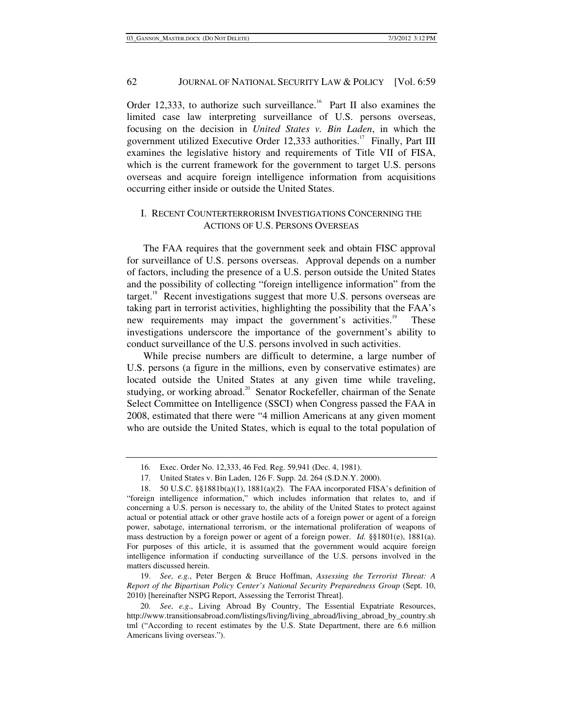Order 12,333, to authorize such surveillance.<sup>16</sup> Part II also examines the limited case law interpreting surveillance of U.S. persons overseas, focusing on the decision in *United States v. Bin Laden*, in which the government utilized Executive Order 12,333 authorities.<sup>17</sup> Finally, Part III examines the legislative history and requirements of Title VII of FISA, which is the current framework for the government to target U.S. persons overseas and acquire foreign intelligence information from acquisitions occurring either inside or outside the United States.

## I. RECENT COUNTERTERRORISM INVESTIGATIONS CONCERNING THE ACTIONS OF U.S. PERSONS OVERSEAS

The FAA requires that the government seek and obtain FISC approval for surveillance of U.S. persons overseas. Approval depends on a number of factors, including the presence of a U.S. person outside the United States and the possibility of collecting "foreign intelligence information" from the target.<sup>18</sup> Recent investigations suggest that more U.S. persons overseas are taking part in terrorist activities, highlighting the possibility that the FAA's new requirements may impact the government's activities.<sup>19</sup> These investigations underscore the importance of the government's ability to conduct surveillance of the U.S. persons involved in such activities.

While precise numbers are difficult to determine, a large number of U.S. persons (a figure in the millions, even by conservative estimates) are located outside the United States at any given time while traveling, studying, or working abroad.<sup>20</sup> Senator Rockefeller, chairman of the Senate Select Committee on Intelligence (SSCI) when Congress passed the FAA in 2008, estimated that there were "4 million Americans at any given moment who are outside the United States, which is equal to the total population of

 19. *See, e.g.*, Peter Bergen & Bruce Hoffman, *Assessing the Terrorist Threat: A Report of the Bipartisan Policy Center's National Security Preparedness Group* (Sept. 10, 2010) [hereinafter NSPG Report, Assessing the Terrorist Threat].

 <sup>16.</sup> Exec. Order No. 12,333, 46 Fed. Reg. 59,941 (Dec. 4, 1981).

 <sup>17.</sup> United States v. Bin Laden, 126 F. Supp. 2d. 264 (S.D.N.Y. 2000).

 <sup>18. 50</sup> U.S.C. §§1881b(a)(1), 1881(a)(2). The FAA incorporated FISA's definition of "foreign intelligence information," which includes information that relates to, and if concerning a U.S. person is necessary to, the ability of the United States to protect against actual or potential attack or other grave hostile acts of a foreign power or agent of a foreign power, sabotage, international terrorism, or the international proliferation of weapons of mass destruction by a foreign power or agent of a foreign power. *Id.* §§1801(e), 1881(a). For purposes of this article, it is assumed that the government would acquire foreign intelligence information if conducting surveillance of the U.S. persons involved in the matters discussed herein.

 <sup>20.</sup> *See, e.g*., Living Abroad By Country, The Essential Expatriate Resources, http://www.transitionsabroad.com/listings/living/living\_abroad/living\_abroad\_by\_country.sh tml ("According to recent estimates by the U.S. State Department, there are 6.6 million Americans living overseas.").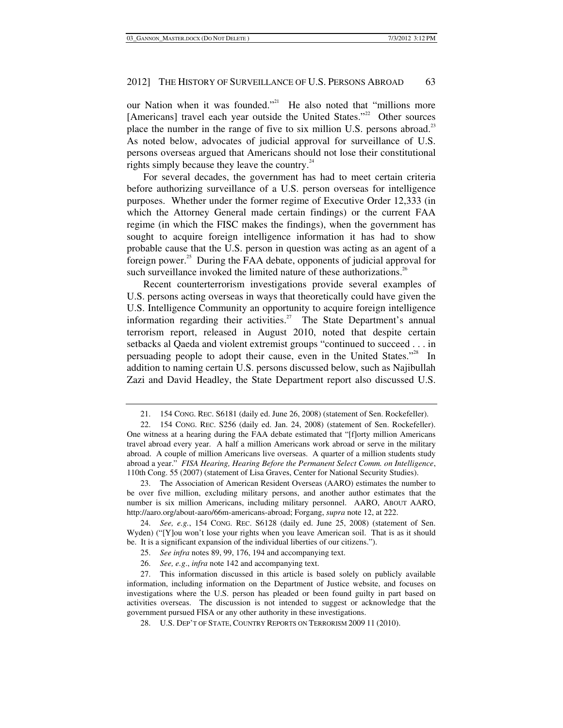our Nation when it was founded."<sup>21</sup> He also noted that "millions more [Americans] travel each year outside the United States."<sup>22</sup> Other sources place the number in the range of five to six million U.S. persons abroad.<sup>23</sup> As noted below, advocates of judicial approval for surveillance of U.S. persons overseas argued that Americans should not lose their constitutional rights simply because they leave the country. $24$ 

For several decades, the government has had to meet certain criteria before authorizing surveillance of a U.S. person overseas for intelligence purposes. Whether under the former regime of Executive Order 12,333 (in which the Attorney General made certain findings) or the current FAA regime (in which the FISC makes the findings), when the government has sought to acquire foreign intelligence information it has had to show probable cause that the U.S. person in question was acting as an agent of a foreign power.<sup>25</sup> During the FAA debate, opponents of judicial approval for such surveillance invoked the limited nature of these authorizations.<sup>26</sup>

Recent counterterrorism investigations provide several examples of U.S. persons acting overseas in ways that theoretically could have given the U.S. Intelligence Community an opportunity to acquire foreign intelligence information regarding their activities.<sup>27</sup> The State Department's annual terrorism report, released in August 2010, noted that despite certain setbacks al Qaeda and violent extremist groups "continued to succeed . . . in persuading people to adopt their cause, even in the United States."<sup>28</sup> In addition to naming certain U.S. persons discussed below, such as Najibullah Zazi and David Headley, the State Department report also discussed U.S.

 <sup>21. 154</sup> CONG. REC. S6181 (daily ed. June 26, 2008) (statement of Sen. Rockefeller).

 <sup>22. 154</sup> CONG. REC. S256 (daily ed. Jan. 24, 2008) (statement of Sen. Rockefeller). One witness at a hearing during the FAA debate estimated that "[f]orty million Americans travel abroad every year. A half a million Americans work abroad or serve in the military abroad. A couple of million Americans live overseas. A quarter of a million students study abroad a year." *FISA Hearing, Hearing Before the Permanent Select Comm. on Intelligence*, 110th Cong. 55 (2007) (statement of Lisa Graves, Center for National Security Studies).

 <sup>23.</sup> The Association of American Resident Overseas (AARO) estimates the number to be over five million, excluding military persons, and another author estimates that the number is six million Americans, including military personnel. AARO, ABOUT AARO, http://aaro.org/about-aaro/66m-americans-abroad; Forgang, *supra* note 12, at 222.

 <sup>24.</sup> *See, e.g.*, 154 CONG. REC. S6128 (daily ed. June 25, 2008) (statement of Sen. Wyden) ("[Y]ou won't lose your rights when you leave American soil. That is as it should be. It is a significant expansion of the individual liberties of our citizens.").

 <sup>25.</sup> *See infra* notes 89, 99, 176, 194 and accompanying text.

 <sup>26.</sup> *See, e.g*., *infra* note 142 and accompanying text.

 <sup>27.</sup> This information discussed in this article is based solely on publicly available information, including information on the Department of Justice website, and focuses on investigations where the U.S. person has pleaded or been found guilty in part based on activities overseas. The discussion is not intended to suggest or acknowledge that the government pursued FISA or any other authority in these investigations.

 <sup>28.</sup> U.S. DEP'T OF STATE, COUNTRY REPORTS ON TERRORISM 2009 11 (2010).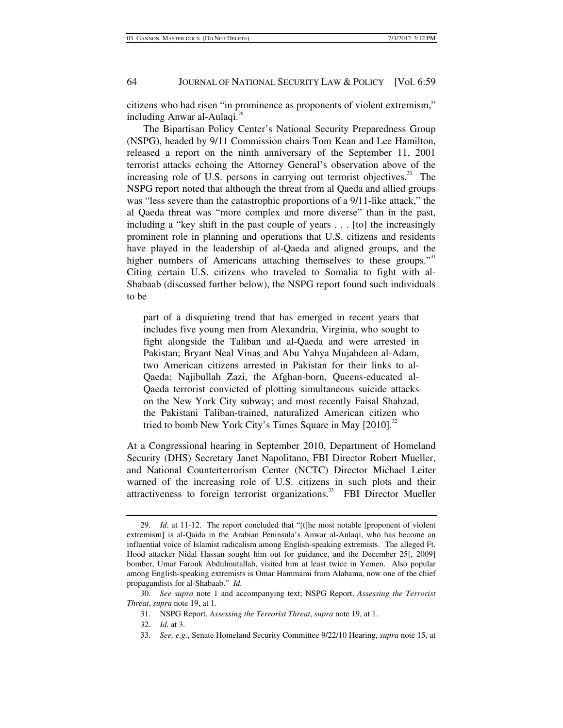citizens who had risen "in prominence as proponents of violent extremism," including Anwar al-Aulaqi.<sup>29</sup>

The Bipartisan Policy Center's National Security Preparedness Group (NSPG), headed by 9/11 Commission chairs Tom Kean and Lee Hamilton, released a report on the ninth anniversary of the September 11, 2001 terrorist attacks echoing the Attorney General's observation above of the increasing role of U.S. persons in carrying out terrorist objectives.<sup>30</sup> The NSPG report noted that although the threat from al Qaeda and allied groups was "less severe than the catastrophic proportions of a 9/11-like attack," the al Qaeda threat was "more complex and more diverse" than in the past, including a "key shift in the past couple of years . . . [to] the increasingly prominent role in planning and operations that U.S. citizens and residents have played in the leadership of al-Qaeda and aligned groups, and the higher numbers of Americans attaching themselves to these groups."<sup>31</sup> Citing certain U.S. citizens who traveled to Somalia to fight with al-Shabaab (discussed further below), the NSPG report found such individuals to be

part of a disquieting trend that has emerged in recent years that includes five young men from Alexandria, Virginia, who sought to fight alongside the Taliban and al-Qaeda and were arrested in Pakistan; Bryant Neal Vinas and Abu Yahya Mujahdeen al-Adam, two American citizens arrested in Pakistan for their links to al-Qaeda; Najibullah Zazi, the Afghan-born, Queens-educated al-Qaeda terrorist convicted of plotting simultaneous suicide attacks on the New York City subway; and most recently Faisal Shahzad, the Pakistani Taliban-trained, naturalized American citizen who tried to bomb New York City's Times Square in May  $[2010]$ .<sup>32</sup>

At a Congressional hearing in September 2010, Department of Homeland Security (DHS) Secretary Janet Napolitano, FBI Director Robert Mueller, and National Counterterrorism Center (NCTC) Director Michael Leiter warned of the increasing role of U.S. citizens in such plots and their attractiveness to foreign terrorist organizations.<sup>33</sup> FBI Director Mueller

 <sup>29.</sup> *Id*. at 11-12. The report concluded that "[t]he most notable [proponent of violent extremism] is al-Qaida in the Arabian Peninsula's Anwar al-Aulaqi, who has become an influential voice of Islamist radicalism among English-speaking extremists. The alleged Ft. Hood attacker Nidal Hassan sought him out for guidance, and the December 25[, 2009] bomber, Umar Farouk Abdulmutallab, visited him at least twice in Yemen. Also popular among English-speaking extremists is Omar Hammami from Alabama, now one of the chief propagandists for al-Shabaab." *Id.*

 <sup>30.</sup> *See supra* note 1 and accompanying text; NSPG Report, *Assessing the Terrorist Threat*, *supra* note 19, at 1.

 <sup>31.</sup> NSPG Report, *Assessing the Terrorist Threat*, *supra* note 19, at 1.

 <sup>32.</sup> *Id.* at 3.

 <sup>33.</sup> *See, e.g.*, Senate Homeland Security Committee 9/22/10 Hearing, *supra* note 15, at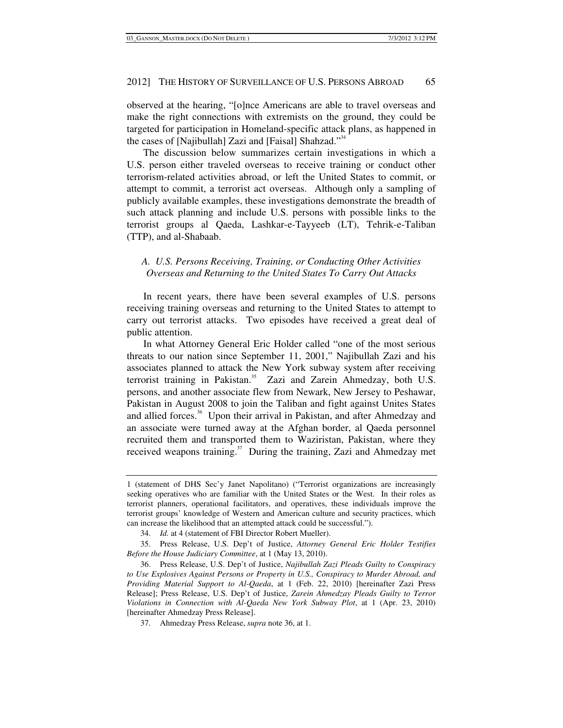observed at the hearing, "[o]nce Americans are able to travel overseas and make the right connections with extremists on the ground, they could be targeted for participation in Homeland-specific attack plans, as happened in the cases of [Najibullah] Zazi and [Faisal] Shahzad."<sup>34</sup>

The discussion below summarizes certain investigations in which a U.S. person either traveled overseas to receive training or conduct other terrorism-related activities abroad, or left the United States to commit, or attempt to commit, a terrorist act overseas. Although only a sampling of publicly available examples, these investigations demonstrate the breadth of such attack planning and include U.S. persons with possible links to the terrorist groups al Qaeda, Lashkar-e-Tayyeeb (LT), Tehrik-e-Taliban (TTP), and al-Shabaab.

## *A. U.S. Persons Receiving, Training, or Conducting Other Activities Overseas and Returning to the United States To Carry Out Attacks*

In recent years, there have been several examples of U.S. persons receiving training overseas and returning to the United States to attempt to carry out terrorist attacks. Two episodes have received a great deal of public attention.

In what Attorney General Eric Holder called "one of the most serious threats to our nation since September 11, 2001," Najibullah Zazi and his associates planned to attack the New York subway system after receiving terrorist training in Pakistan.<sup>35</sup> Zazi and Zarein Ahmedzay, both U.S. persons, and another associate flew from Newark, New Jersey to Peshawar, Pakistan in August 2008 to join the Taliban and fight against Unites States and allied forces.<sup>36</sup> Upon their arrival in Pakistan, and after Ahmedzay and an associate were turned away at the Afghan border, al Qaeda personnel recruited them and transported them to Waziristan, Pakistan, where they received weapons training.<sup>37</sup> During the training, Zazi and Ahmedzay met

<sup>1 (</sup>statement of DHS Sec'y Janet Napolitano) ("Terrorist organizations are increasingly seeking operatives who are familiar with the United States or the West. In their roles as terrorist planners, operational facilitators, and operatives, these individuals improve the terrorist groups' knowledge of Western and American culture and security practices, which can increase the likelihood that an attempted attack could be successful.").

 <sup>34.</sup> *Id.* at 4 (statement of FBI Director Robert Mueller).

 <sup>35.</sup> Press Release, U.S. Dep't of Justice, *Attorney General Eric Holder Testifies Before the House Judiciary Committee*, at 1 (May 13, 2010).

 <sup>36.</sup> Press Release, U.S. Dep't of Justice, *Najibullah Zazi Pleads Guilty to Conspiracy to Use Explosives Against Persons or Property in U.S., Conspiracy to Murder Abroad, and Providing Material Support to Al-Qaeda*, at 1 (Feb. 22, 2010) [hereinafter Zazi Press Release]; Press Release, U.S. Dep't of Justice, *Zarein Ahmedzay Pleads Guilty to Terror Violations in Connection with Al-Qaeda New York Subway Plot*, at 1 (Apr. 23, 2010) [hereinafter Ahmedzay Press Release].

 <sup>37.</sup> Ahmedzay Press Release, *supra* note 36, at 1.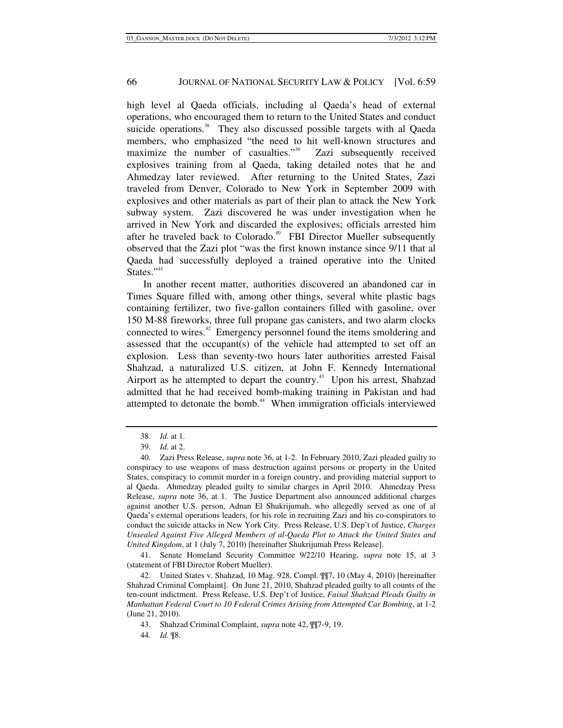high level al Qaeda officials, including al Qaeda's head of external operations, who encouraged them to return to the United States and conduct suicide operations.<sup>38</sup> They also discussed possible targets with al Qaeda members, who emphasized "the need to hit well-known structures and maximize the number of casualties."<sup>39</sup> Zazi subsequently received explosives training from al Qaeda, taking detailed notes that he and Ahmedzay later reviewed. After returning to the United States, Zazi traveled from Denver, Colorado to New York in September 2009 with explosives and other materials as part of their plan to attack the New York subway system. Zazi discovered he was under investigation when he arrived in New York and discarded the explosives; officials arrested him after he traveled back to Colorado.<sup>40</sup> FBI Director Mueller subsequently observed that the Zazi plot "was the first known instance since 9/11 that al Qaeda had successfully deployed a trained operative into the United States."<sup>41</sup>

In another recent matter, authorities discovered an abandoned car in Times Square filled with, among other things, several white plastic bags containing fertilizer, two five-gallon containers filled with gasoline, over 150 M-88 fireworks, three full propane gas canisters, and two alarm clocks connected to wires.42 Emergency personnel found the items smoldering and assessed that the occupant(s) of the vehicle had attempted to set off an explosion. Less than seventy-two hours later authorities arrested Faisal Shahzad, a naturalized U.S. citizen, at John F. Kennedy International Airport as he attempted to depart the country.<sup>43</sup> Upon his arrest, Shahzad admitted that he had received bomb-making training in Pakistan and had attempted to detonate the bomb.<sup>44</sup> When immigration officials interviewed

 41. Senate Homeland Security Committee 9/22/10 Hearing, *supra* note 15, at 3 (statement of FBI Director Robert Mueller).

 <sup>38.</sup> *Id.* at 1.

 <sup>39.</sup> *Id.* at 2.

 <sup>40.</sup> Zazi Press Release, *supra* note 36, at 1-2. In February 2010, Zazi pleaded guilty to conspiracy to use weapons of mass destruction against persons or property in the United States, conspiracy to commit murder in a foreign country, and providing material support to al Qaeda. Ahmedzay pleaded guilty to similar charges in April 2010. Ahmedzay Press Release, *supra* note 36, at 1. The Justice Department also announced additional charges against another U.S. person, Adnan El Shukrijumah, who allegedly served as one of al Qaeda's external operations leaders, for his role in recruiting Zazi and his co-conspirators to conduct the suicide attacks in New York City. Press Release, U.S. Dep't of Justice, *Charges Unsealed Against Five Alleged Members of al-Qaeda Plot to Attack the United States and United Kingdom*, at 1 (July 7, 2010) [hereinafter Shukrijumah Press Release].

 <sup>42.</sup> United States v. Shahzad, 10 Mag. 928, Compl. ¶¶7, 10 (May 4, 2010) [hereinafter Shahzad Criminal Complaint]. On June 21, 2010, Shahzad pleaded guilty to all counts of the ten-count indictment. Press Release, U.S. Dep't of Justice, *Faisal Shahzad Pleads Guilty in Manhattan Federal Court to 10 Federal Crimes Arising from Attempted Car Bombing*, at 1-2 (June 21, 2010).

 <sup>43.</sup> Shahzad Criminal Complaint, *supra* note 42, ¶¶7-9, 19.

 <sup>44.</sup> *Id.* ¶8.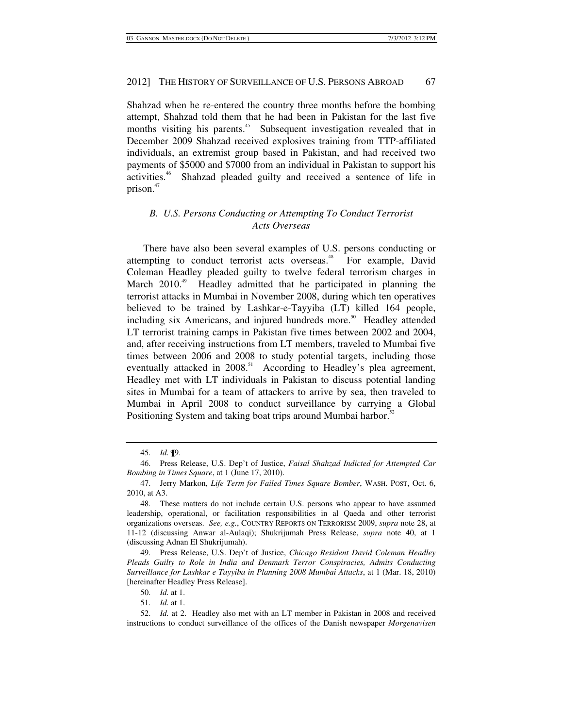Shahzad when he re-entered the country three months before the bombing attempt, Shahzad told them that he had been in Pakistan for the last five months visiting his parents.<sup>45</sup> Subsequent investigation revealed that in December 2009 Shahzad received explosives training from TTP-affiliated individuals, an extremist group based in Pakistan, and had received two payments of \$5000 and \$7000 from an individual in Pakistan to support his activities.46 Shahzad pleaded guilty and received a sentence of life in prison.<sup>47</sup>

## *B. U.S. Persons Conducting or Attempting To Conduct Terrorist Acts Overseas*

There have also been several examples of U.S. persons conducting or attempting to conduct terrorist acts overseas.<sup>48</sup> For example, David Coleman Headley pleaded guilty to twelve federal terrorism charges in March 2010<sup>49</sup> Headley admitted that he participated in planning the terrorist attacks in Mumbai in November 2008, during which ten operatives believed to be trained by Lashkar-e-Tayyiba (LT) killed 164 people, including six Americans, and injured hundreds more.<sup>50</sup> Headley attended LT terrorist training camps in Pakistan five times between 2002 and 2004, and, after receiving instructions from LT members, traveled to Mumbai five times between 2006 and 2008 to study potential targets, including those eventually attacked in  $2008$ .<sup>51</sup> According to Headley's plea agreement, Headley met with LT individuals in Pakistan to discuss potential landing sites in Mumbai for a team of attackers to arrive by sea, then traveled to Mumbai in April 2008 to conduct surveillance by carrying a Global Positioning System and taking boat trips around Mumbai harbor.<sup>52</sup>

 <sup>45.</sup> *Id.* ¶9.

 <sup>46.</sup> Press Release, U.S. Dep't of Justice, *Faisal Shahzad Indicted for Attempted Car Bombing in Times Square*, at 1 (June 17, 2010).

 <sup>47.</sup> Jerry Markon, *Life Term for Failed Times Square Bomber*, WASH. POST, Oct. 6, 2010, at A3.

 <sup>48.</sup> These matters do not include certain U.S. persons who appear to have assumed leadership, operational, or facilitation responsibilities in al Qaeda and other terrorist organizations overseas. *See, e.g.*, COUNTRY REPORTS ON TERRORISM 2009, *supra* note 28, at 11-12 (discussing Anwar al-Aulaqi); Shukrijumah Press Release, *supra* note 40, at 1 (discussing Adnan El Shukrijumah).

 <sup>49.</sup> Press Release, U.S. Dep't of Justice, *Chicago Resident David Coleman Headley Pleads Guilty to Role in India and Denmark Terror Conspiracies, Admits Conducting Surveillance for Lashkar e Tayyiba in Planning 2008 Mumbai Attacks*, at 1 (Mar. 18, 2010) [hereinafter Headley Press Release].

 <sup>50.</sup> *Id.* at 1.

 <sup>51.</sup> *Id.* at 1.

 <sup>52.</sup> *Id.* at 2. Headley also met with an LT member in Pakistan in 2008 and received instructions to conduct surveillance of the offices of the Danish newspaper *Morgenavisen*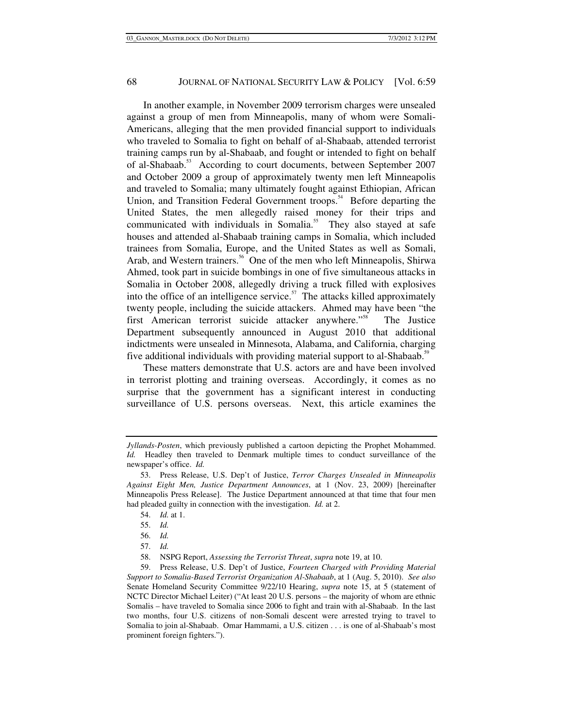In another example, in November 2009 terrorism charges were unsealed against a group of men from Minneapolis, many of whom were Somali-Americans, alleging that the men provided financial support to individuals who traveled to Somalia to fight on behalf of al-Shabaab, attended terrorist training camps run by al-Shabaab, and fought or intended to fight on behalf of al-Shabaab.<sup>53</sup> According to court documents, between September 2007 and October 2009 a group of approximately twenty men left Minneapolis and traveled to Somalia; many ultimately fought against Ethiopian, African Union, and Transition Federal Government troops.<sup>54</sup> Before departing the United States, the men allegedly raised money for their trips and communicated with individuals in Somalia.<sup>55</sup> They also stayed at safe houses and attended al-Shabaab training camps in Somalia, which included trainees from Somalia, Europe, and the United States as well as Somali, Arab, and Western trainers.<sup>56</sup> One of the men who left Minneapolis, Shirwa Ahmed, took part in suicide bombings in one of five simultaneous attacks in Somalia in October 2008, allegedly driving a truck filled with explosives into the office of an intelligence service.<sup>57</sup> The attacks killed approximately twenty people, including the suicide attackers. Ahmed may have been "the first American terrorist suicide attacker anywhere."58 The Justice Department subsequently announced in August 2010 that additional indictments were unsealed in Minnesota, Alabama, and California, charging five additional individuals with providing material support to al-Shabaab.<sup>59</sup>

These matters demonstrate that U.S. actors are and have been involved in terrorist plotting and training overseas. Accordingly, it comes as no surprise that the government has a significant interest in conducting surveillance of U.S. persons overseas. Next, this article examines the

*Jyllands-Posten*, which previously published a cartoon depicting the Prophet Mohammed. *Id.* Headley then traveled to Denmark multiple times to conduct surveillance of the newspaper's office. *Id.*

 <sup>53.</sup> Press Release, U.S. Dep't of Justice, *Terror Charges Unsealed in Minneapolis Against Eight Men, Justice Department Announces*, at 1 (Nov. 23, 2009) [hereinafter Minneapolis Press Release]. The Justice Department announced at that time that four men had pleaded guilty in connection with the investigation. *Id.* at 2.

 <sup>54.</sup> *Id.* at 1.

 <sup>55.</sup> *Id.*

 <sup>56.</sup> *Id.*

 <sup>57.</sup> *Id.*

 <sup>58.</sup> NSPG Report, *Assessing the Terrorist Threat*, *supra* note 19, at 10.

 <sup>59.</sup> Press Release, U.S. Dep't of Justice, *Fourteen Charged with Providing Material Support to Somalia-Based Terrorist Organization Al-Shabaab*, at 1 (Aug. 5, 2010). *See also* Senate Homeland Security Committee 9/22/10 Hearing, *supra* note 15, at 5 (statement of NCTC Director Michael Leiter) ("At least 20 U.S. persons – the majority of whom are ethnic Somalis – have traveled to Somalia since 2006 to fight and train with al-Shabaab. In the last two months, four U.S. citizens of non-Somali descent were arrested trying to travel to Somalia to join al-Shabaab. Omar Hammami, a U.S. citizen . . . is one of al-Shabaab's most prominent foreign fighters.").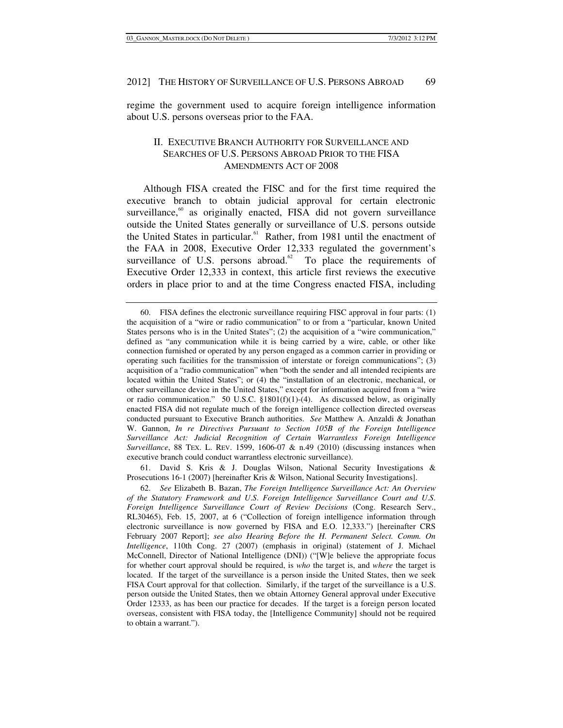regime the government used to acquire foreign intelligence information about U.S. persons overseas prior to the FAA.

## II. EXECUTIVE BRANCH AUTHORITY FOR SURVEILLANCE AND SEARCHES OF U.S. PERSONS ABROAD PRIOR TO THE FISA AMENDMENTS ACT OF 2008

Although FISA created the FISC and for the first time required the executive branch to obtain judicial approval for certain electronic surveillance, $60$  as originally enacted, FISA did not govern surveillance outside the United States generally or surveillance of U.S. persons outside the United States in particular.<sup>61</sup> Rather, from 1981 until the enactment of the FAA in 2008, Executive Order 12,333 regulated the government's surveillance of U.S. persons abroad. $62$  To place the requirements of Executive Order 12,333 in context, this article first reviews the executive orders in place prior to and at the time Congress enacted FISA, including

 61. David S. Kris & J. Douglas Wilson, National Security Investigations & Prosecutions 16-1 (2007) [hereinafter Kris & Wilson, National Security Investigations].

 <sup>60.</sup> FISA defines the electronic surveillance requiring FISC approval in four parts: (1) the acquisition of a "wire or radio communication" to or from a "particular, known United States persons who is in the United States"; (2) the acquisition of a "wire communication," defined as "any communication while it is being carried by a wire, cable, or other like connection furnished or operated by any person engaged as a common carrier in providing or operating such facilities for the transmission of interstate or foreign communications"; (3) acquisition of a "radio communication" when "both the sender and all intended recipients are located within the United States"; or (4) the "installation of an electronic, mechanical, or other surveillance device in the United States," except for information acquired from a "wire or radio communication." 50 U.S.C.  $\S 1801(f)(1)-(4)$ . As discussed below, as originally enacted FISA did not regulate much of the foreign intelligence collection directed overseas conducted pursuant to Executive Branch authorities. *See* Matthew A. Anzaldi & Jonathan W. Gannon, *In re Directives Pursuant to Section 105B of the Foreign Intelligence Surveillance Act: Judicial Recognition of Certain Warrantless Foreign Intelligence Surveillance*, 88 TEX. L. REV. 1599, 1606-07 & n.49 (2010) (discussing instances when executive branch could conduct warrantless electronic surveillance).

 <sup>62.</sup> *See* Elizabeth B. Bazan, *The Foreign Intelligence Surveillance Act: An Overview of the Statutory Framework and U*.*S*. *Foreign Intelligence Surveillance Court and U*.*S*. *Foreign Intelligence Surveillance Court of Review Decisions* (Cong. Research Serv., RL30465), Feb. 15, 2007, at 6 ("Collection of foreign intelligence information through electronic surveillance is now governed by FISA and E.O. 12,333.") [hereinafter CRS February 2007 Report]; *see also Hearing Before the H. Permanent Select. Comm. On Intelligence*, 110th Cong. 27 (2007) (emphasis in original) (statement of J. Michael McConnell, Director of National Intelligence (DNI)) ("[W]e believe the appropriate focus for whether court approval should be required, is *who* the target is, and *where* the target is located. If the target of the surveillance is a person inside the United States, then we seek FISA Court approval for that collection. Similarly, if the target of the surveillance is a U.S. person outside the United States, then we obtain Attorney General approval under Executive Order 12333, as has been our practice for decades. If the target is a foreign person located overseas, consistent with FISA today, the [Intelligence Community] should not be required to obtain a warrant.").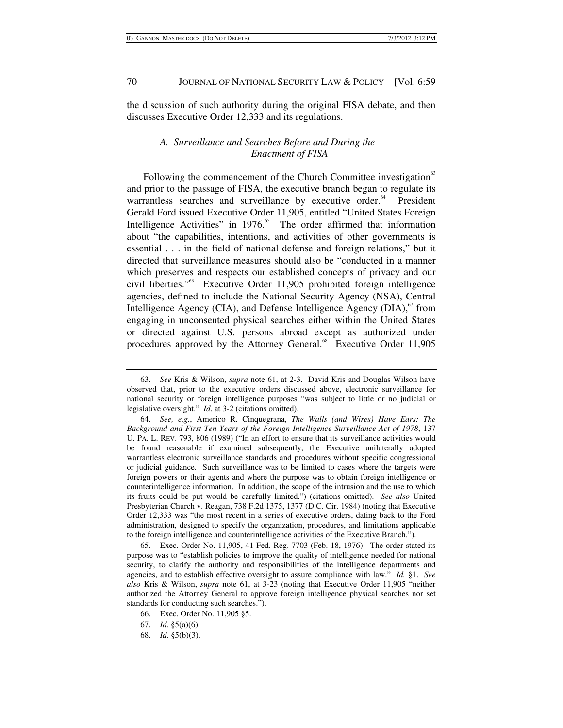the discussion of such authority during the original FISA debate, and then discusses Executive Order 12,333 and its regulations.

## *A. Surveillance and Searches Before and During the Enactment of FISA*

Following the commencement of the Church Committee investigation<sup>63</sup> and prior to the passage of FISA, the executive branch began to regulate its warrantless searches and surveillance by executive order.<sup>64</sup> President Gerald Ford issued Executive Order 11,905, entitled "United States Foreign Intelligence Activities" in  $1976$ .<sup>65</sup> The order affirmed that information about "the capabilities, intentions, and activities of other governments is essential . . . in the field of national defense and foreign relations," but it directed that surveillance measures should also be "conducted in a manner which preserves and respects our established concepts of privacy and our civil liberties."66 Executive Order 11,905 prohibited foreign intelligence agencies, defined to include the National Security Agency (NSA), Central Intelligence Agency (CIA), and Defense Intelligence Agency (DIA), $67$  from engaging in unconsented physical searches either within the United States or directed against U.S. persons abroad except as authorized under procedures approved by the Attorney General.<sup>68</sup> Executive Order 11,905

 <sup>63.</sup> *See* Kris & Wilson, *supra* note 61, at 2-3. David Kris and Douglas Wilson have observed that, prior to the executive orders discussed above, electronic surveillance for national security or foreign intelligence purposes "was subject to little or no judicial or legislative oversight." *Id*. at 3-2 (citations omitted).

 <sup>64.</sup> *See, e.g.*, Americo R. Cinquegrana, *The Walls (and Wires) Have Ears: The Background and First Ten Years of the Foreign Intelligence Surveillance Act of 1978*, 137 U. PA. L. REV. 793, 806 (1989) ("In an effort to ensure that its surveillance activities would be found reasonable if examined subsequently, the Executive unilaterally adopted warrantless electronic surveillance standards and procedures without specific congressional or judicial guidance. Such surveillance was to be limited to cases where the targets were foreign powers or their agents and where the purpose was to obtain foreign intelligence or counterintelligence information. In addition, the scope of the intrusion and the use to which its fruits could be put would be carefully limited.") (citations omitted). *See also* United Presbyterian Church v. Reagan, 738 F.2d 1375, 1377 (D.C. Cir. 1984) (noting that Executive Order 12,333 was "the most recent in a series of executive orders, dating back to the Ford administration, designed to specify the organization, procedures, and limitations applicable to the foreign intelligence and counterintelligence activities of the Executive Branch.").

 <sup>65.</sup> Exec. Order No. 11,905, 41 Fed. Reg. 7703 (Feb. 18, 1976). The order stated its purpose was to "establish policies to improve the quality of intelligence needed for national security, to clarify the authority and responsibilities of the intelligence departments and agencies, and to establish effective oversight to assure compliance with law." *Id.* §1. *See also* Kris & Wilson, *supra* note 61, at 3-23 (noting that Executive Order 11,905 "neither authorized the Attorney General to approve foreign intelligence physical searches nor set standards for conducting such searches.").

 <sup>66.</sup> Exec. Order No. 11,905 §5.

 <sup>67.</sup> *Id.* §5(a)(6).

 <sup>68.</sup> *Id.* §5(b)(3).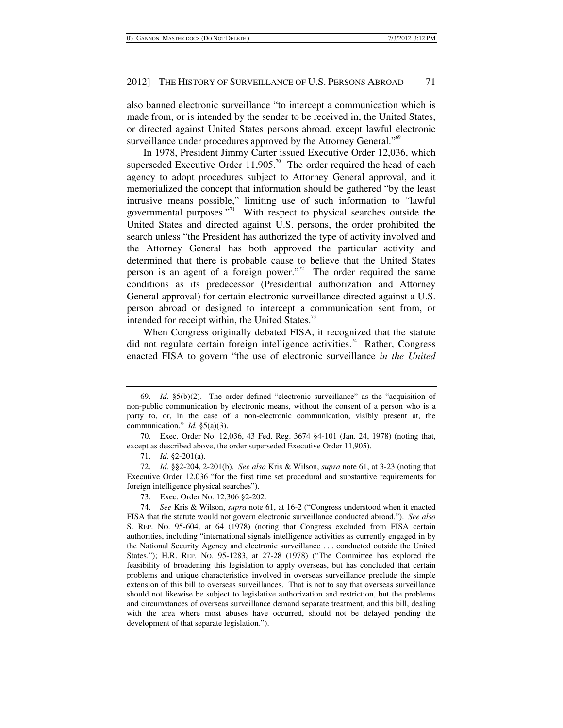also banned electronic surveillance "to intercept a communication which is made from, or is intended by the sender to be received in, the United States, or directed against United States persons abroad, except lawful electronic surveillance under procedures approved by the Attorney General."<sup>69</sup>

In 1978, President Jimmy Carter issued Executive Order 12,036, which superseded Executive Order  $11,905$ .<sup>70</sup> The order required the head of each agency to adopt procedures subject to Attorney General approval, and it memorialized the concept that information should be gathered "by the least intrusive means possible," limiting use of such information to "lawful governmental purposes."<sup>71</sup> With respect to physical searches outside the United States and directed against U.S. persons, the order prohibited the search unless "the President has authorized the type of activity involved and the Attorney General has both approved the particular activity and determined that there is probable cause to believe that the United States person is an agent of a foreign power. $n^2$  The order required the same conditions as its predecessor (Presidential authorization and Attorney General approval) for certain electronic surveillance directed against a U.S. person abroad or designed to intercept a communication sent from, or intended for receipt within, the United States.<sup>73</sup>

When Congress originally debated FISA, it recognized that the statute did not regulate certain foreign intelligence activities.<sup>74</sup> Rather, Congress enacted FISA to govern "the use of electronic surveillance *in the United* 

 <sup>69.</sup> *Id.* §5(b)(2). The order defined "electronic surveillance" as the "acquisition of non-public communication by electronic means, without the consent of a person who is a party to, or, in the case of a non-electronic communication, visibly present at, the communication." *Id.* §5(a)(3).

 <sup>70.</sup> Exec. Order No. 12,036, 43 Fed. Reg. 3674 §4-101 (Jan. 24, 1978) (noting that, except as described above, the order superseded Executive Order 11,905).

 <sup>71.</sup> *Id.* §2-201(a).

 <sup>72.</sup> *Id.* §§2-204, 2-201(b). *See also* Kris & Wilson, *supra* note 61, at 3-23 (noting that Executive Order 12,036 "for the first time set procedural and substantive requirements for foreign intelligence physical searches").

 <sup>73.</sup> Exec. Order No. 12,306 §2-202.

 <sup>74.</sup> *See* Kris & Wilson, *supra* note 61, at 16-2 ("Congress understood when it enacted FISA that the statute would not govern electronic surveillance conducted abroad."). *See also* S. REP. NO. 95-604, at 64 (1978) (noting that Congress excluded from FISA certain authorities, including "international signals intelligence activities as currently engaged in by the National Security Agency and electronic surveillance . . . conducted outside the United States."); H.R. REP. NO. 95-1283, at 27-28 (1978) ("The Committee has explored the feasibility of broadening this legislation to apply overseas, but has concluded that certain problems and unique characteristics involved in overseas surveillance preclude the simple extension of this bill to overseas surveillances. That is not to say that overseas surveillance should not likewise be subject to legislative authorization and restriction, but the problems and circumstances of overseas surveillance demand separate treatment, and this bill, dealing with the area where most abuses have occurred, should not be delayed pending the development of that separate legislation.").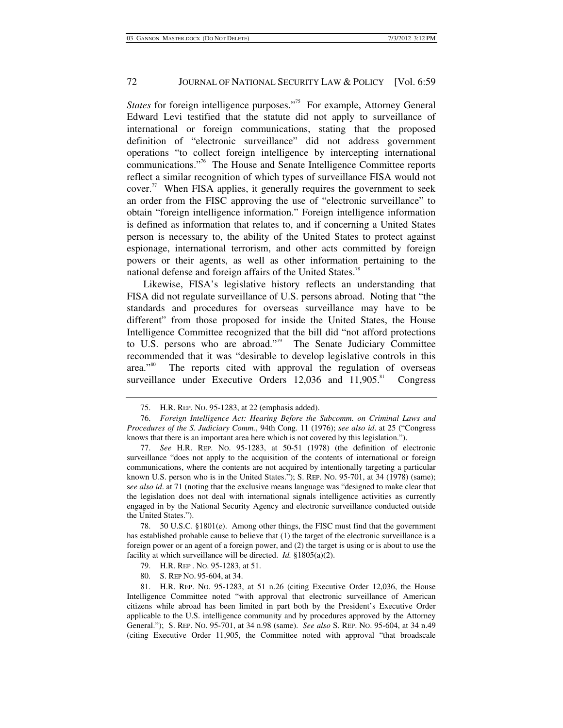*States* for foreign intelligence purposes."<sup>75</sup> For example, Attorney General Edward Levi testified that the statute did not apply to surveillance of international or foreign communications, stating that the proposed definition of "electronic surveillance" did not address government operations "to collect foreign intelligence by intercepting international communications."76 The House and Senate Intelligence Committee reports reflect a similar recognition of which types of surveillance FISA would not cover. $\frac{7}{7}$  When FISA applies, it generally requires the government to seek an order from the FISC approving the use of "electronic surveillance" to obtain "foreign intelligence information." Foreign intelligence information is defined as information that relates to, and if concerning a United States person is necessary to, the ability of the United States to protect against espionage, international terrorism, and other acts committed by foreign powers or their agents, as well as other information pertaining to the national defense and foreign affairs of the United States.<sup>78</sup>

Likewise, FISA's legislative history reflects an understanding that FISA did not regulate surveillance of U.S. persons abroad. Noting that "the standards and procedures for overseas surveillance may have to be different" from those proposed for inside the United States, the House Intelligence Committee recognized that the bill did "not afford protections to U.S. persons who are abroad."<sup>79</sup> The Senate Judiciary Committee recommended that it was "desirable to develop legislative controls in this area."<sup>80</sup> The reports cited with approval the regulation of overseas surveillance under Executive Orders  $12,036$  and  $11,905$ .<sup>81</sup> Congress

 78. 50 U.S.C. §1801(e). Among other things, the FISC must find that the government has established probable cause to believe that (1) the target of the electronic surveillance is a foreign power or an agent of a foreign power, and (2) the target is using or is about to use the facility at which surveillance will be directed. *Id.* §1805(a)(2).

79. H.R. REP . NO. 95-1283, at 51.

80. S. REP NO. 95-604, at 34.

 81. H.R. REP. NO. 95-1283, at 51 n.26 (citing Executive Order 12,036, the House Intelligence Committee noted "with approval that electronic surveillance of American citizens while abroad has been limited in part both by the President's Executive Order applicable to the U.S. intelligence community and by procedures approved by the Attorney General."); S. REP. NO. 95-701, at 34 n.98 (same). *See also* S. REP. NO. 95-604, at 34 n.49 (citing Executive Order 11,905, the Committee noted with approval "that broadscale

 <sup>75.</sup> H.R. REP. NO. 95-1283, at 22 (emphasis added).

 <sup>76.</sup> *Foreign Intelligence Act: Hearing Before the Subcomm. on Criminal Laws and Procedures of the S. Judiciary Comm.*, 94th Cong. 11 (1976); *see also id*. at 25 ("Congress knows that there is an important area here which is not covered by this legislation.").

 <sup>77.</sup> *See* H.R. REP. NO. 95-1283, at 50-51 (1978) (the definition of electronic surveillance "does not apply to the acquisition of the contents of international or foreign communications, where the contents are not acquired by intentionally targeting a particular known U.S. person who is in the United States."); S. REP. NO. 95-701, at 34 (1978) (same); s*ee also id*. at 71 (noting that the exclusive means language was "designed to make clear that the legislation does not deal with international signals intelligence activities as currently engaged in by the National Security Agency and electronic surveillance conducted outside the United States.").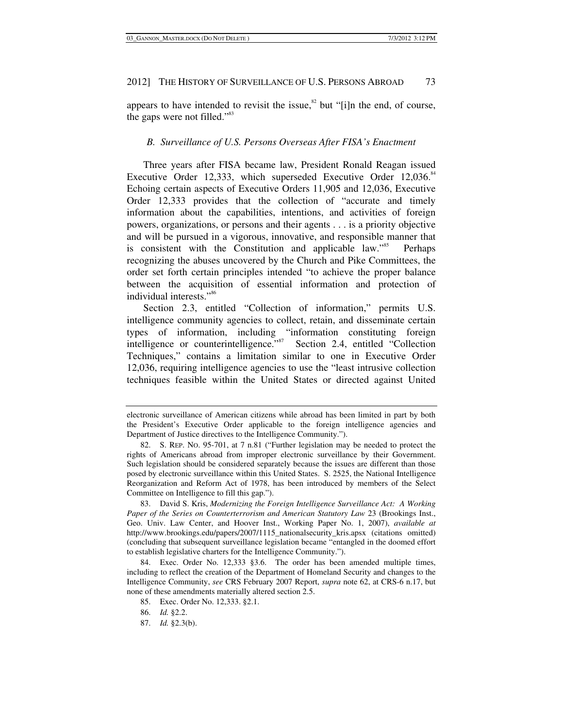appears to have intended to revisit the issue, ${}^{82}$  but "[i]n the end, of course, the gaps were not filled."<sup>83</sup>

### *B. Surveillance of U.S. Persons Overseas After FISA's Enactment*

Three years after FISA became law, President Ronald Reagan issued Executive Order 12,333, which superseded Executive Order 12,036.84 Echoing certain aspects of Executive Orders 11,905 and 12,036, Executive Order 12,333 provides that the collection of "accurate and timely information about the capabilities, intentions, and activities of foreign powers, organizations, or persons and their agents . . . is a priority objective and will be pursued in a vigorous, innovative, and responsible manner that is consistent with the Constitution and applicable law."<sup>85</sup> Perhaps recognizing the abuses uncovered by the Church and Pike Committees, the order set forth certain principles intended "to achieve the proper balance between the acquisition of essential information and protection of individual interests."<sup>86</sup>

Section 2.3, entitled "Collection of information," permits U.S. intelligence community agencies to collect, retain, and disseminate certain types of information, including "information constituting foreign intelligence or counterintelligence."<sup>87</sup> Section 2.4, entitled "Collection" Techniques," contains a limitation similar to one in Executive Order 12,036, requiring intelligence agencies to use the "least intrusive collection techniques feasible within the United States or directed against United

electronic surveillance of American citizens while abroad has been limited in part by both the President's Executive Order applicable to the foreign intelligence agencies and Department of Justice directives to the Intelligence Community.").

 <sup>82.</sup> S. REP. NO. 95-701, at 7 n.81 ("Further legislation may be needed to protect the rights of Americans abroad from improper electronic surveillance by their Government. Such legislation should be considered separately because the issues are different than those posed by electronic surveillance within this United States. S. 2525, the National Intelligence Reorganization and Reform Act of 1978, has been introduced by members of the Select Committee on Intelligence to fill this gap.").

 <sup>83.</sup> David S. Kris, *Modernizing the Foreign Intelligence Surveillance Act: A Working Paper of the Series on Counterterrorism and American Statutory Law* 23 (Brookings Inst., Geo. Univ. Law Center, and Hoover Inst., Working Paper No. 1, 2007), *available at* http://www.brookings.edu/papers/2007/1115\_nationalsecurity\_kris.apsx (citations omitted) (concluding that subsequent surveillance legislation became "entangled in the doomed effort to establish legislative charters for the Intelligence Community.").

 <sup>84.</sup> Exec. Order No. 12,333 §3.6. The order has been amended multiple times, including to reflect the creation of the Department of Homeland Security and changes to the Intelligence Community, *see* CRS February 2007 Report, *supra* note 62, at CRS-6 n.17, but none of these amendments materially altered section 2.5.

 <sup>85.</sup> Exec. Order No. 12,333. §2.1.

 <sup>86.</sup> *Id.* §2.2.

 <sup>87.</sup> *Id.* §2.3(b).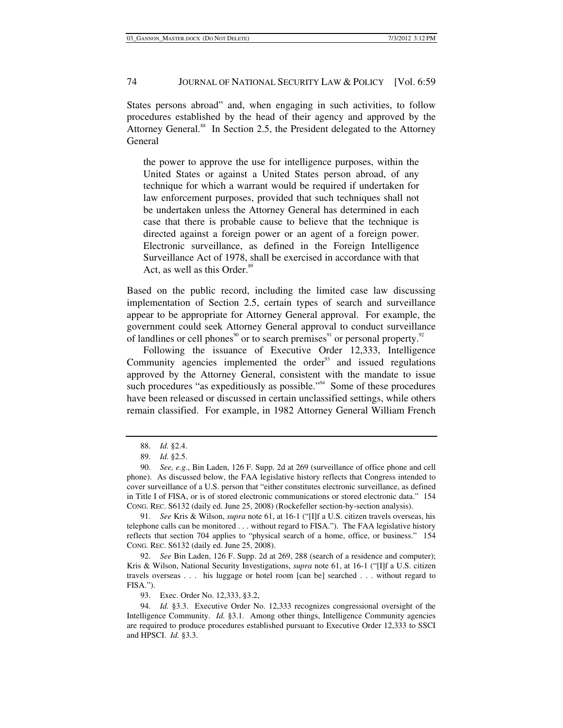States persons abroad" and, when engaging in such activities, to follow procedures established by the head of their agency and approved by the Attorney General.<sup>88</sup> In Section 2.5, the President delegated to the Attorney General

the power to approve the use for intelligence purposes, within the United States or against a United States person abroad, of any technique for which a warrant would be required if undertaken for law enforcement purposes, provided that such techniques shall not be undertaken unless the Attorney General has determined in each case that there is probable cause to believe that the technique is directed against a foreign power or an agent of a foreign power. Electronic surveillance, as defined in the Foreign Intelligence Surveillance Act of 1978, shall be exercised in accordance with that Act, as well as this Order.<sup>89</sup>

Based on the public record, including the limited case law discussing implementation of Section 2.5, certain types of search and surveillance appear to be appropriate for Attorney General approval. For example, the government could seek Attorney General approval to conduct surveillance of landlines or cell phones<sup>90</sup> or to search premises<sup>91</sup> or personal property.<sup>92</sup>

Following the issuance of Executive Order 12,333, Intelligence Community agencies implemented the order $93$  and issued regulations approved by the Attorney General, consistent with the mandate to issue such procedures "as expeditiously as possible."<sup>94</sup> Some of these procedures have been released or discussed in certain unclassified settings, while others remain classified. For example, in 1982 Attorney General William French

 91. *See* Kris & Wilson, *supra* note 61, at 16-1 ("[I]f a U.S. citizen travels overseas, his telephone calls can be monitored . . . without regard to FISA."). The FAA legislative history reflects that section 704 applies to "physical search of a home, office, or business." 154 CONG. REC. S6132 (daily ed. June 25, 2008).

 92. *See* Bin Laden, 126 F. Supp. 2d at 269, 288 (search of a residence and computer); Kris & Wilson, National Security Investigations, *supra* note 61, at 16-1 ("[I]f a U.S. citizen travels overseas . . . his luggage or hotel room [can be] searched . . . without regard to FISA.").

93. Exec. Order No. 12,333, §3.2,

 94. *Id.* §3.3. Executive Order No. 12,333 recognizes congressional oversight of the Intelligence Community. *Id.* §3.1. Among other things, Intelligence Community agencies are required to produce procedures established pursuant to Executive Order 12,333 to SSCI and HPSCI. *Id.* §3.3.

 <sup>88.</sup> *Id.* §2.4.

 <sup>89.</sup> *Id.* §2.5.

 <sup>90.</sup> *See, e.g.*, Bin Laden, 126 F. Supp. 2d at 269 (surveillance of office phone and cell phone). As discussed below, the FAA legislative history reflects that Congress intended to cover surveillance of a U.S. person that "either constitutes electronic surveillance, as defined in Title I of FISA, or is of stored electronic communications or stored electronic data." 154 CONG. REC. S6132 (daily ed. June 25, 2008) (Rockefeller section-by-section analysis).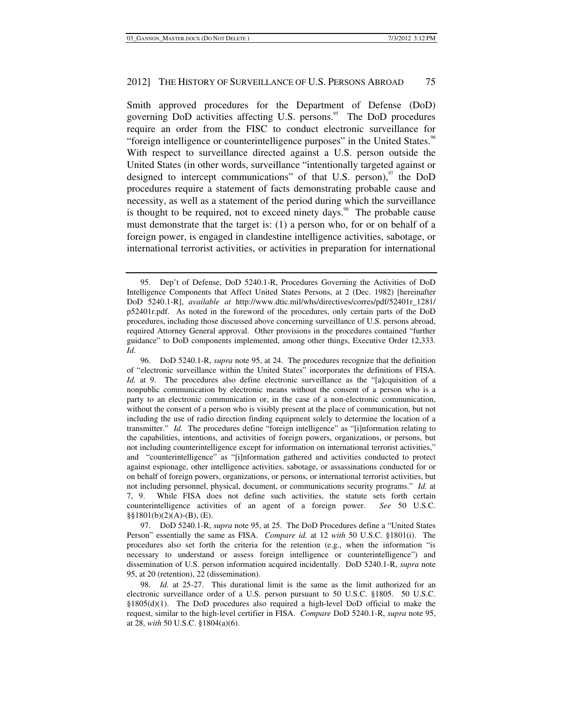Smith approved procedures for the Department of Defense (DoD) governing DoD activities affecting U.S. persons.<sup>95</sup> The DoD procedures require an order from the FISC to conduct electronic surveillance for "foreign intelligence or counterintelligence purposes" in the United States.<sup>96</sup> With respect to surveillance directed against a U.S. person outside the United States (in other words, surveillance "intentionally targeted against or designed to intercept communications" of that U.S. person), $\frac{97}{10}$  the DoD procedures require a statement of facts demonstrating probable cause and necessity, as well as a statement of the period during which the surveillance is thought to be required, not to exceed ninety days. $98$  The probable cause must demonstrate that the target is: (1) a person who, for or on behalf of a foreign power, is engaged in clandestine intelligence activities, sabotage, or international terrorist activities, or activities in preparation for international

 97. DoD 5240.1-R, *supra* note 95, at 25. The DoD Procedures define a "United States Person" essentially the same as FISA. *Compare id.* at 12 *with* 50 U.S.C. §1801(i). The procedures also set forth the criteria for the retention (e.g., when the information "is necessary to understand or assess foreign intelligence or counterintelligence") and dissemination of U.S. person information acquired incidentally. DoD 5240.1-R, *supra* note 95, at 20 (retention), 22 (dissemination).

 <sup>95.</sup> Dep't of Defense, DoD 5240.1-R, Procedures Governing the Activities of DoD Intelligence Components that Affect United States Persons, at 2 (Dec. 1982) [hereinafter DoD 5240.1-R], *available at* http://www.dtic.mil/whs/directives/corres/pdf/52401r\_1281/ p52401r.pdf. As noted in the foreword of the procedures, only certain parts of the DoD procedures, including those discussed above concerning surveillance of U.S. persons abroad, required Attorney General approval. Other provisions in the procedures contained "further guidance" to DoD components implemented, among other things, Executive Order 12,333. *Id*.

 <sup>96.</sup> DoD 5240.1-R, *supra* note 95, at 24. The procedures recognize that the definition of "electronic surveillance within the United States" incorporates the definitions of FISA. *Id.* at 9. The procedures also define electronic surveillance as the "[a]cquisition of a nonpublic communication by electronic means without the consent of a person who is a party to an electronic communication or, in the case of a non-electronic communication, without the consent of a person who is visibly present at the place of communication, but not including the use of radio direction finding equipment solely to determine the location of a transmitter." *Id.* The procedures define "foreign intelligence" as "[i]nformation relating to the capabilities, intentions, and activities of foreign powers, organizations, or persons, but not including counterintelligence except for information on international terrorist activities," and "counterintelligence" as "[i]nformation gathered and activities conducted to protect against espionage, other intelligence activities, sabotage, or assassinations conducted for or on behalf of foreign powers, organizations, or persons, or international terrorist activities, but not including personnel, physical, document, or communications security programs." *Id.* at 7, 9. While FISA does not define such activities, the statute sets forth certain counterintelligence activities of an agent of a foreign power. *See* 50 U.S.C. §§1801(b)(2)(A)-(B), (E).

 <sup>98.</sup> *Id.* at 25-27. This durational limit is the same as the limit authorized for an electronic surveillance order of a U.S. person pursuant to 50 U.S.C. §1805. 50 U.S.C. §1805(d)(1). The DoD procedures also required a high-level DoD official to make the request, similar to the high-level certifier in FISA. *Compare* DoD 5240.1-R, *supra* note 95, at 28, *with* 50 U.S.C. §1804(a)(6).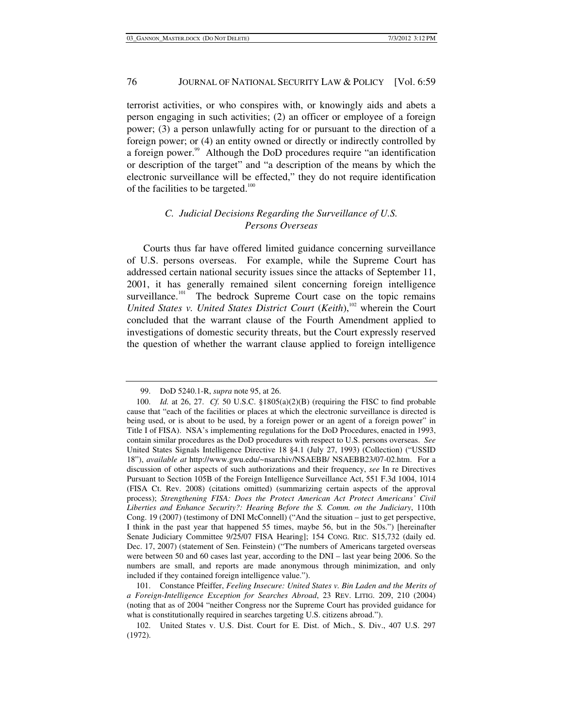terrorist activities, or who conspires with, or knowingly aids and abets a person engaging in such activities; (2) an officer or employee of a foreign power; (3) a person unlawfully acting for or pursuant to the direction of a foreign power; or (4) an entity owned or directly or indirectly controlled by a foreign power.<sup>99</sup> Although the DoD procedures require "an identification" or description of the target" and "a description of the means by which the electronic surveillance will be effected," they do not require identification of the facilities to be targeted. $100$ 

## *C. Judicial Decisions Regarding the Surveillance of U.S. Persons Overseas*

Courts thus far have offered limited guidance concerning surveillance of U.S. persons overseas. For example, while the Supreme Court has addressed certain national security issues since the attacks of September 11, 2001, it has generally remained silent concerning foreign intelligence surveillance.<sup>101</sup> The bedrock Supreme Court case on the topic remains *United States v. United States District Court (Keith)*,<sup>102</sup> wherein the Court concluded that the warrant clause of the Fourth Amendment applied to investigations of domestic security threats, but the Court expressly reserved the question of whether the warrant clause applied to foreign intelligence

 <sup>99.</sup> DoD 5240.1-R, *supra* note 95, at 26.

 <sup>100.</sup> *Id.* at 26, 27. *Cf.* 50 U.S.C. §1805(a)(2)(B) (requiring the FISC to find probable cause that "each of the facilities or places at which the electronic surveillance is directed is being used, or is about to be used, by a foreign power or an agent of a foreign power" in Title I of FISA). NSA's implementing regulations for the DoD Procedures, enacted in 1993, contain similar procedures as the DoD procedures with respect to U.S. persons overseas. *See* United States Signals Intelligence Directive 18 §4.1 (July 27, 1993) (Collection) ("USSID 18"), *available at* http://www.gwu.edu/~nsarchiv/NSAEBB/ NSAEBB23/07-02.htm. For a discussion of other aspects of such authorizations and their frequency, *see* In re Directives Pursuant to Section 105B of the Foreign Intelligence Surveillance Act, 551 F.3d 1004, 1014 (FISA Ct. Rev. 2008) (citations omitted) (summarizing certain aspects of the approval process); *Strengthening FISA: Does the Protect American Act Protect Americans' Civil Liberties and Enhance Security?: Hearing Before the S. Comm. on the Judiciary*, 110th Cong. 19 (2007) (testimony of DNI McConnell) ("And the situation – just to get perspective, I think in the past year that happened 55 times, maybe 56, but in the 50s.") [hereinafter Senate Judiciary Committee 9/25/07 FISA Hearing]; 154 CONG. REC. S15,732 (daily ed. Dec. 17, 2007) (statement of Sen. Feinstein) ("The numbers of Americans targeted overseas were between 50 and 60 cases last year, according to the DNI – last year being 2006. So the numbers are small, and reports are made anonymous through minimization, and only included if they contained foreign intelligence value.").

 <sup>101.</sup> Constance Pfeiffer, *Feeling Insecure: United States v. Bin Laden and the Merits of a Foreign-Intelligence Exception for Searches Abroad*, 23 REV. LITIG. 209, 210 (2004) (noting that as of 2004 "neither Congress nor the Supreme Court has provided guidance for what is constitutionally required in searches targeting U.S. citizens abroad.").

 <sup>102.</sup> United States v. U.S. Dist. Court for E. Dist. of Mich., S. Div., 407 U.S. 297 (1972).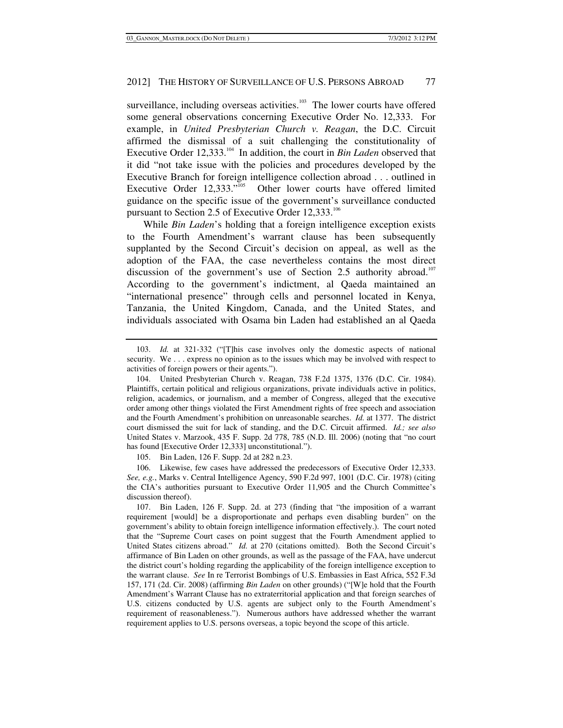surveillance, including overseas activities. $103$  The lower courts have offered some general observations concerning Executive Order No. 12,333. For example, in *United Presbyterian Church v. Reagan*, the D.C. Circuit affirmed the dismissal of a suit challenging the constitutionality of Executive Order 12,333.<sup>104</sup> In addition, the court in *Bin Laden* observed that it did "not take issue with the policies and procedures developed by the Executive Branch for foreign intelligence collection abroad . . . outlined in Executive Order 12,333."<sup>105</sup> Other lower courts have offered limited Other lower courts have offered limited guidance on the specific issue of the government's surveillance conducted pursuant to Section 2.5 of Executive Order 12,333.<sup>106</sup>

While *Bin Laden*'s holding that a foreign intelligence exception exists to the Fourth Amendment's warrant clause has been subsequently supplanted by the Second Circuit's decision on appeal, as well as the adoption of the FAA, the case nevertheless contains the most direct discussion of the government's use of Section 2.5 authority abroad.<sup>107</sup> According to the government's indictment, al Qaeda maintained an "international presence" through cells and personnel located in Kenya, Tanzania, the United Kingdom, Canada, and the United States, and individuals associated with Osama bin Laden had established an al Qaeda

105. Bin Laden, 126 F. Supp. 2d at 282 n.23.

 106. Likewise, few cases have addressed the predecessors of Executive Order 12,333. *See, e.g.*, Marks v. Central Intelligence Agency, 590 F.2d 997, 1001 (D.C. Cir. 1978) (citing the CIA's authorities pursuant to Executive Order 11,905 and the Church Committee's discussion thereof).

 <sup>103.</sup> *Id.* at 321-332 ("[T]his case involves only the domestic aspects of national security. We . . . express no opinion as to the issues which may be involved with respect to activities of foreign powers or their agents.").

 <sup>104.</sup> United Presbyterian Church v. Reagan, 738 F.2d 1375, 1376 (D.C. Cir. 1984). Plaintiffs, certain political and religious organizations, private individuals active in politics, religion, academics, or journalism, and a member of Congress, alleged that the executive order among other things violated the First Amendment rights of free speech and association and the Fourth Amendment's prohibition on unreasonable searches. *Id.* at 1377. The district court dismissed the suit for lack of standing, and the D.C. Circuit affirmed. *Id.; see also* United States v. Marzook, 435 F. Supp. 2d 778, 785 (N.D. Ill. 2006) (noting that "no court has found [Executive Order 12,333] unconstitutional.").

 <sup>107.</sup> Bin Laden, 126 F. Supp. 2d. at 273 (finding that "the imposition of a warrant requirement [would] be a disproportionate and perhaps even disabling burden" on the government's ability to obtain foreign intelligence information effectively.). The court noted that the "Supreme Court cases on point suggest that the Fourth Amendment applied to United States citizens abroad." *Id.* at 270 (citations omitted). Both the Second Circuit's affirmance of Bin Laden on other grounds, as well as the passage of the FAA, have undercut the district court's holding regarding the applicability of the foreign intelligence exception to the warrant clause. *See* In re Terrorist Bombings of U.S. Embassies in East Africa, 552 F.3d 157, 171 (2d. Cir. 2008) (affirming *Bin Laden* on other grounds) ("[W]e hold that the Fourth Amendment's Warrant Clause has no extraterritorial application and that foreign searches of U.S. citizens conducted by U.S. agents are subject only to the Fourth Amendment's requirement of reasonableness."). Numerous authors have addressed whether the warrant requirement applies to U.S. persons overseas, a topic beyond the scope of this article.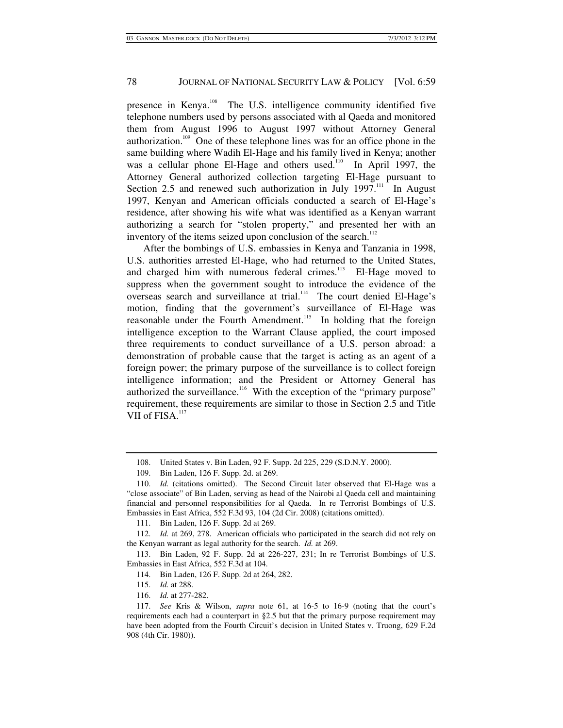presence in Kenya.108 The U.S. intelligence community identified five telephone numbers used by persons associated with al Qaeda and monitored them from August 1996 to August 1997 without Attorney General authorization.109 One of these telephone lines was for an office phone in the same building where Wadih El-Hage and his family lived in Kenya; another was a cellular phone El-Hage and others used.<sup>110</sup> In April 1997, the Attorney General authorized collection targeting El-Hage pursuant to Section 2.5 and renewed such authorization in July  $1997$ .<sup>111</sup> In August 1997, Kenyan and American officials conducted a search of El-Hage's residence, after showing his wife what was identified as a Kenyan warrant authorizing a search for "stolen property," and presented her with an inventory of the items seized upon conclusion of the search. $^{112}$ 

After the bombings of U.S. embassies in Kenya and Tanzania in 1998, U.S. authorities arrested El-Hage, who had returned to the United States, and charged him with numerous federal crimes. $113$  El-Hage moved to suppress when the government sought to introduce the evidence of the  $\overline{\text{overses}}$  search and surveillance at trial.<sup>114</sup> The court denied El-Hage's motion, finding that the government's surveillance of El-Hage was reasonable under the Fourth Amendment.<sup>115</sup> In holding that the foreign intelligence exception to the Warrant Clause applied, the court imposed three requirements to conduct surveillance of a U.S. person abroad: a demonstration of probable cause that the target is acting as an agent of a foreign power; the primary purpose of the surveillance is to collect foreign intelligence information; and the President or Attorney General has authorized the surveillance.<sup>116</sup> With the exception of the "primary purpose" requirement, these requirements are similar to those in Section 2.5 and Title VII of FISA.<sup>117</sup>

 <sup>108.</sup> United States v. Bin Laden, 92 F. Supp. 2d 225, 229 (S.D.N.Y. 2000).

 <sup>109.</sup> Bin Laden, 126 F. Supp. 2d. at 269.

 <sup>110.</sup> *Id.* (citations omitted). The Second Circuit later observed that El-Hage was a "close associate" of Bin Laden, serving as head of the Nairobi al Qaeda cell and maintaining financial and personnel responsibilities for al Qaeda. In re Terrorist Bombings of U.S. Embassies in East Africa, 552 F.3d 93, 104 (2d Cir. 2008) (citations omitted).

 <sup>111.</sup> Bin Laden, 126 F. Supp. 2d at 269.

 <sup>112.</sup> *Id.* at 269, 278. American officials who participated in the search did not rely on the Kenyan warrant as legal authority for the search. *Id.* at 269.

 <sup>113.</sup> Bin Laden, 92 F. Supp. 2d at 226-227, 231; In re Terrorist Bombings of U.S. Embassies in East Africa, 552 F.3d at 104.

 <sup>114.</sup> Bin Laden, 126 F. Supp. 2d at 264, 282.

 <sup>115.</sup> *Id.* at 288.

 <sup>116.</sup> *Id.* at 277-282.

 <sup>117.</sup> *See* Kris & Wilson, *supra* note 61, at 16-5 to 16-9 (noting that the court's requirements each had a counterpart in §2.5 but that the primary purpose requirement may have been adopted from the Fourth Circuit's decision in United States v. Truong, 629 F.2d 908 (4th Cir. 1980)).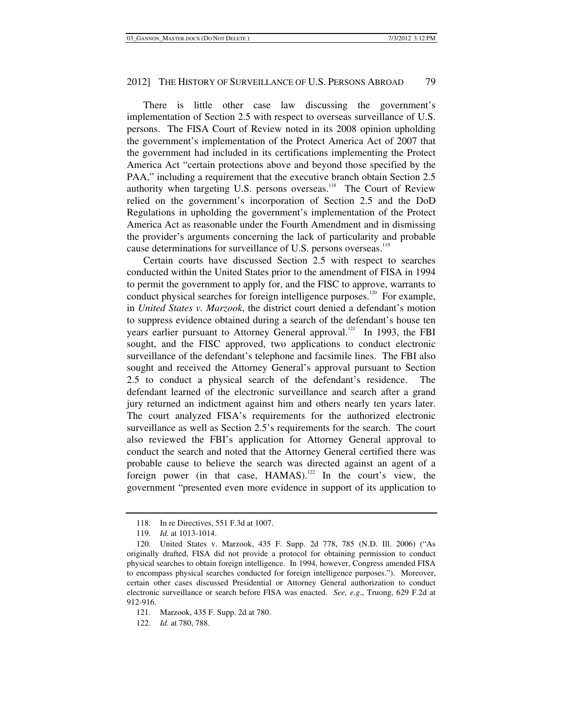There is little other case law discussing the government's implementation of Section 2.5 with respect to overseas surveillance of U.S. persons. The FISA Court of Review noted in its 2008 opinion upholding the government's implementation of the Protect America Act of 2007 that the government had included in its certifications implementing the Protect America Act "certain protections above and beyond those specified by the PAA," including a requirement that the executive branch obtain Section 2.5 authority when targeting U.S. persons overseas.<sup>118</sup> The Court of Review relied on the government's incorporation of Section 2.5 and the DoD Regulations in upholding the government's implementation of the Protect America Act as reasonable under the Fourth Amendment and in dismissing the provider's arguments concerning the lack of particularity and probable cause determinations for surveillance of U.S. persons overseas.<sup>119</sup>

Certain courts have discussed Section 2.5 with respect to searches conducted within the United States prior to the amendment of FISA in 1994 to permit the government to apply for, and the FISC to approve, warrants to conduct physical searches for foreign intelligence purposes.<sup>120</sup> For example, in *United States v. Marzook*, the district court denied a defendant's motion to suppress evidence obtained during a search of the defendant's house ten years earlier pursuant to Attorney General approval.<sup>121</sup> In 1993, the FBI sought, and the FISC approved, two applications to conduct electronic surveillance of the defendant's telephone and facsimile lines. The FBI also sought and received the Attorney General's approval pursuant to Section 2.5 to conduct a physical search of the defendant's residence. The defendant learned of the electronic surveillance and search after a grand jury returned an indictment against him and others nearly ten years later. The court analyzed FISA's requirements for the authorized electronic surveillance as well as Section 2.5's requirements for the search. The court also reviewed the FBI's application for Attorney General approval to conduct the search and noted that the Attorney General certified there was probable cause to believe the search was directed against an agent of a foreign power (in that case,  $HAMAS$ ).<sup>122</sup> In the court's view, the government "presented even more evidence in support of its application to

122. *Id.* at 780, 788.

 <sup>118.</sup> In re Directives, 551 F.3d at 1007.

 <sup>119.</sup> *Id.* at 1013-1014.

 <sup>120.</sup> United States v. Marzook, 435 F. Supp. 2d 778, 785 (N.D. Ill. 2006) ("As originally drafted, FISA did not provide a protocol for obtaining permission to conduct physical searches to obtain foreign intelligence. In 1994, however, Congress amended FISA to encompass physical searches conducted for foreign intelligence purposes."). Moreover, certain other cases discussed Presidential or Attorney General authorization to conduct electronic surveillance or search before FISA was enacted. *See, e.g*., Truong, 629 F.2d at 912-916.

 <sup>121.</sup> Marzook, 435 F. Supp. 2d at 780.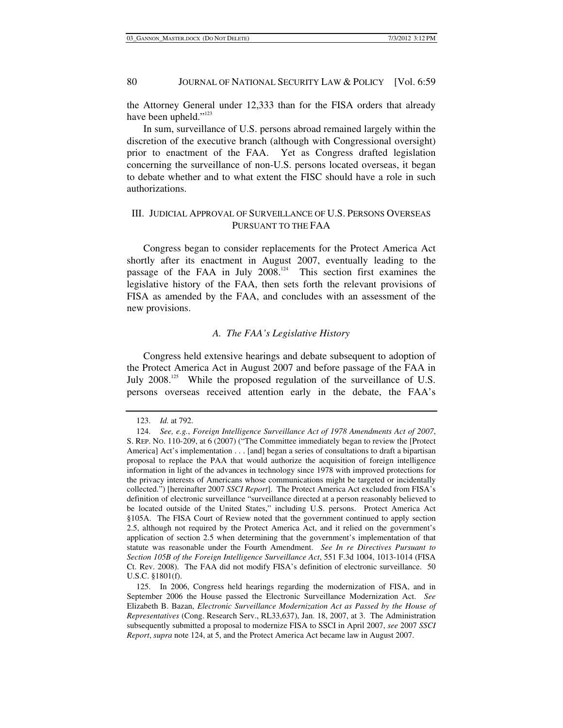the Attorney General under 12,333 than for the FISA orders that already have been upheld."<sup>123</sup>

In sum, surveillance of U.S. persons abroad remained largely within the discretion of the executive branch (although with Congressional oversight) prior to enactment of the FAA. Yet as Congress drafted legislation concerning the surveillance of non-U.S. persons located overseas, it began to debate whether and to what extent the FISC should have a role in such authorizations.

## III. JUDICIAL APPROVAL OF SURVEILLANCE OF U.S. PERSONS OVERSEAS PURSUANT TO THE FAA

Congress began to consider replacements for the Protect America Act shortly after its enactment in August 2007, eventually leading to the passage of the FAA in July 2008.<sup>124</sup> This section first examines the legislative history of the FAA, then sets forth the relevant provisions of FISA as amended by the FAA, and concludes with an assessment of the new provisions.

## *A. The FAA's Legislative History*

Congress held extensive hearings and debate subsequent to adoption of the Protect America Act in August 2007 and before passage of the FAA in July 2008.<sup>125</sup> While the proposed regulation of the surveillance of U.S. persons overseas received attention early in the debate, the FAA's

 <sup>123.</sup> *Id.* at 792.

 <sup>124.</sup> *See, e.g.*, *Foreign Intelligence Surveillance Act of 1978 Amendments Act of 2007*, S. REP. NO. 110-209, at 6 (2007) ("The Committee immediately began to review the [Protect America] Act's implementation . . . [and] began a series of consultations to draft a bipartisan proposal to replace the PAA that would authorize the acquisition of foreign intelligence information in light of the advances in technology since 1978 with improved protections for the privacy interests of Americans whose communications might be targeted or incidentally collected.") [hereinafter 2007 *SSCI Report*]. The Protect America Act excluded from FISA's definition of electronic surveillance "surveillance directed at a person reasonably believed to be located outside of the United States," including U.S. persons. Protect America Act §105A. The FISA Court of Review noted that the government continued to apply section 2.5, although not required by the Protect America Act, and it relied on the government's application of section 2.5 when determining that the government's implementation of that statute was reasonable under the Fourth Amendment. *See In re Directives Pursuant to Section 105B of the Foreign Intelligence Surveillance Act*, 551 F.3d 1004, 1013-1014 (FISA Ct. Rev. 2008). The FAA did not modify FISA's definition of electronic surveillance. 50 U.S.C. §1801(f).

 <sup>125.</sup> In 2006, Congress held hearings regarding the modernization of FISA, and in September 2006 the House passed the Electronic Surveillance Modernization Act. *See* Elizabeth B. Bazan, *Electronic Surveillance Modernization Act as Passed by the House of Representatives* (Cong. Research Serv., RL33,637), Jan. 18, 2007, at 3. The Administration subsequently submitted a proposal to modernize FISA to SSCI in April 2007, *see* 2007 *SSCI Report*, *supra* note 124, at 5, and the Protect America Act became law in August 2007.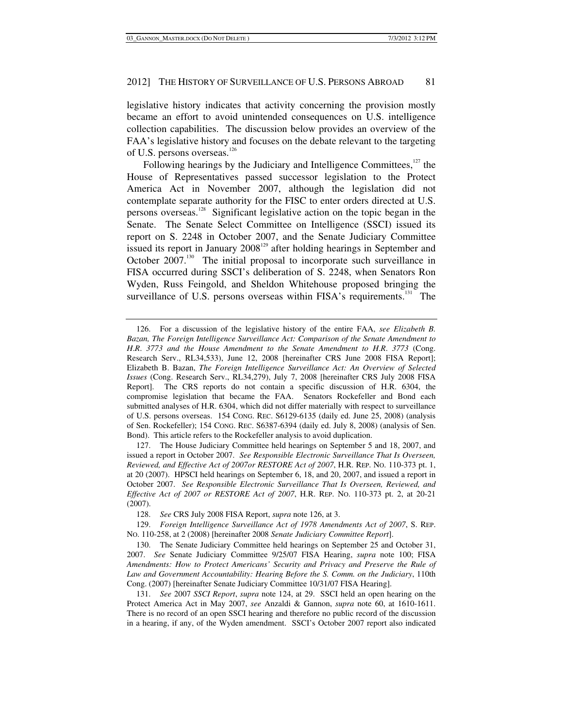legislative history indicates that activity concerning the provision mostly became an effort to avoid unintended consequences on U.S. intelligence collection capabilities. The discussion below provides an overview of the FAA's legislative history and focuses on the debate relevant to the targeting of U.S. persons overseas.<sup>126</sup>

Following hearings by the Judiciary and Intelligence Committees,<sup>127</sup> the House of Representatives passed successor legislation to the Protect America Act in November 2007, although the legislation did not contemplate separate authority for the FISC to enter orders directed at U.S. persons overseas.128 Significant legislative action on the topic began in the Senate. The Senate Select Committee on Intelligence (SSCI) issued its report on S. 2248 in October 2007, and the Senate Judiciary Committee issued its report in January  $2008^{129}$  after holding hearings in September and October 2007.<sup>130</sup> The initial proposal to incorporate such surveillance in FISA occurred during SSCI's deliberation of S. 2248, when Senators Ron Wyden, Russ Feingold, and Sheldon Whitehouse proposed bringing the surveillance of U.S. persons overseas within FISA's requirements.<sup>131</sup> The

 <sup>126.</sup> For a discussion of the legislative history of the entire FAA, *see Elizabeth B. Bazan, The Foreign Intelligence Surveillance Act: Comparison of the Senate Amendment to H*.*R*. *3773 and the House Amendment to the Senate Amendment to H*.*R*. *3773* (Cong. Research Serv., RL34,533), June 12, 2008 [hereinafter CRS June 2008 FISA Report]; Elizabeth B. Bazan, *The Foreign Intelligence Surveillance Act: An Overview of Selected Issues* (Cong. Research Serv., RL34,279), July 7, 2008 [hereinafter CRS July 2008 FISA Report]. The CRS reports do not contain a specific discussion of H.R. 6304, the compromise legislation that became the FAA. Senators Rockefeller and Bond each submitted analyses of H.R. 6304, which did not differ materially with respect to surveillance of U.S. persons overseas. 154 CONG. REC. S6129-6135 (daily ed. June 25, 2008) (analysis of Sen. Rockefeller); 154 CONG. REC. S6387-6394 (daily ed. July 8, 2008) (analysis of Sen. Bond). This article refers to the Rockefeller analysis to avoid duplication.

 <sup>127.</sup> The House Judiciary Committee held hearings on September 5 and 18, 2007, and issued a report in October 2007. *See Responsible Electronic Surveillance That Is Overseen, Reviewed, and Effective Act of 2007or RESTORE Act of 2007*, H.R. REP. NO. 110-373 pt. 1, at 20 (2007). HPSCI held hearings on September 6, 18, and 20, 2007, and issued a report in October 2007. *See Responsible Electronic Surveillance That Is Overseen, Reviewed, and Effective Act of 2007 or RESTORE Act of 2007*, H.R. REP. NO. 110-373 pt. 2, at 20-21 (2007).

 <sup>128.</sup> *See* CRS July 2008 FISA Report, *supra* note 126, at 3.

 <sup>129.</sup> *Foreign Intelligence Surveillance Act of 1978 Amendments Act of 2007*, S. REP. NO. 110-258, at 2 (2008) [hereinafter 2008 *Senate Judiciary Committee Report*].

 <sup>130.</sup> The Senate Judiciary Committee held hearings on September 25 and October 31, 2007. *See* Senate Judiciary Committee 9/25/07 FISA Hearing, *supra* note 100; FISA *Amendments: How to Protect Americans' Security and Privacy and Preserve the Rule of Law and Government Accountability: Hearing Before the S. Comm. on the Judiciary*, 110th Cong. (2007) [hereinafter Senate Judiciary Committee 10/31/07 FISA Hearing].

 <sup>131.</sup> *See* 2007 *SSCI Report*, *supra* note 124, at 29. SSCI held an open hearing on the Protect America Act in May 2007, *see* Anzaldi & Gannon, *supra* note 60, at 1610-1611. There is no record of an open SSCI hearing and therefore no public record of the discussion in a hearing, if any, of the Wyden amendment. SSCI's October 2007 report also indicated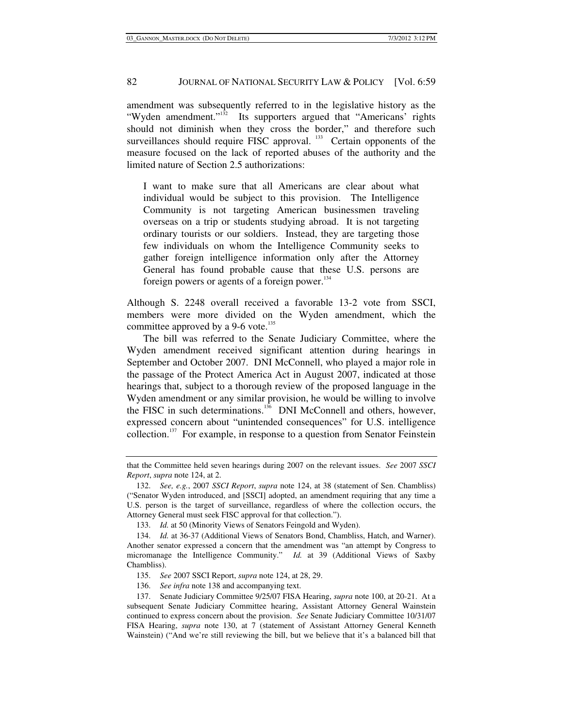amendment was subsequently referred to in the legislative history as the "Wyden amendment."<sup>132</sup> Its supporters argued that "Americans' rights should not diminish when they cross the border," and therefore such surveillances should require FISC approval.<sup>133</sup> Certain opponents of the measure focused on the lack of reported abuses of the authority and the limited nature of Section 2.5 authorizations:

I want to make sure that all Americans are clear about what individual would be subject to this provision. The Intelligence Community is not targeting American businessmen traveling overseas on a trip or students studying abroad. It is not targeting ordinary tourists or our soldiers. Instead, they are targeting those few individuals on whom the Intelligence Community seeks to gather foreign intelligence information only after the Attorney General has found probable cause that these U.S. persons are foreign powers or agents of a foreign power. $134$ 

Although S. 2248 overall received a favorable 13-2 vote from SSCI, members were more divided on the Wyden amendment, which the committee approved by a 9-6 vote.<sup>135</sup>

The bill was referred to the Senate Judiciary Committee, where the Wyden amendment received significant attention during hearings in September and October 2007. DNI McConnell, who played a major role in the passage of the Protect America Act in August 2007, indicated at those hearings that, subject to a thorough review of the proposed language in the Wyden amendment or any similar provision, he would be willing to involve the FISC in such determinations.<sup>136</sup> DNI McConnell and others, however, expressed concern about "unintended consequences" for U.S. intelligence collection.<sup>137</sup> For example, in response to a question from Senator Feinstein

that the Committee held seven hearings during 2007 on the relevant issues. *See* 2007 *SSCI Report*, *supra* note 124, at 2.

 <sup>132.</sup> *See, e.g.*, 2007 *SSCI Report*, *supra* note 124, at 38 (statement of Sen. Chambliss) ("Senator Wyden introduced, and [SSCI] adopted, an amendment requiring that any time a U.S. person is the target of surveillance, regardless of where the collection occurs, the Attorney General must seek FISC approval for that collection.").

 <sup>133.</sup> *Id.* at 50 (Minority Views of Senators Feingold and Wyden).

 <sup>134.</sup> *Id.* at 36-37 (Additional Views of Senators Bond, Chambliss, Hatch, and Warner). Another senator expressed a concern that the amendment was "an attempt by Congress to micromanage the Intelligence Community." *Id.* at 39 (Additional Views of Saxby Chambliss).

 <sup>135.</sup> *See* 2007 SSCI Report, *supra* note 124, at 28, 29.

 <sup>136.</sup> *See infra* note 138 and accompanying text.

 <sup>137.</sup> Senate Judiciary Committee 9/25/07 FISA Hearing, *supra* note 100, at 20-21. At a subsequent Senate Judiciary Committee hearing, Assistant Attorney General Wainstein continued to express concern about the provision. *See* Senate Judiciary Committee 10/31/07 FISA Hearing, *supra* note 130, at 7 (statement of Assistant Attorney General Kenneth Wainstein) ("And we're still reviewing the bill, but we believe that it's a balanced bill that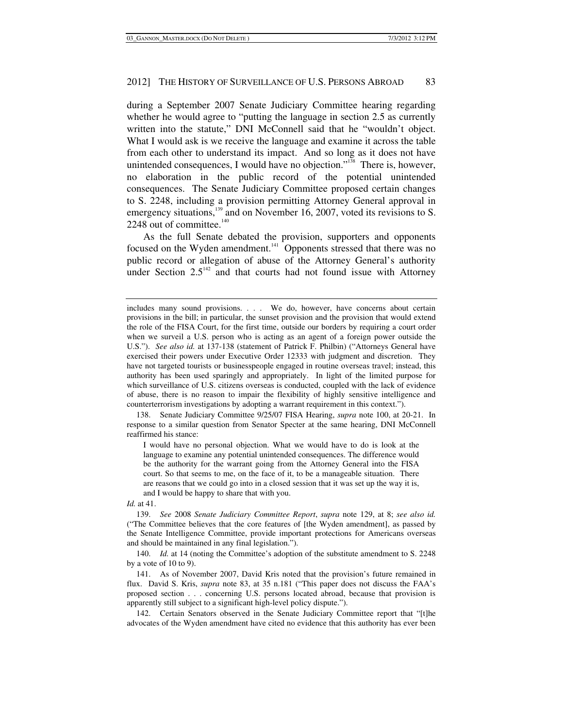during a September 2007 Senate Judiciary Committee hearing regarding whether he would agree to "putting the language in section 2.5 as currently written into the statute," DNI McConnell said that he "wouldn't object. What I would ask is we receive the language and examine it across the table from each other to understand its impact. And so long as it does not have unintended consequences, I would have no objection."<sup>138</sup> There is, however, no elaboration in the public record of the potential unintended consequences. The Senate Judiciary Committee proposed certain changes to S. 2248, including a provision permitting Attorney General approval in emergency situations,<sup>139</sup> and on November 16, 2007, voted its revisions to S. 2248 out of committee. $140$ 

As the full Senate debated the provision, supporters and opponents focused on the Wyden amendment.<sup>141</sup> Opponents stressed that there was no public record or allegation of abuse of the Attorney General's authority under Section  $2.5<sup>142</sup>$  and that courts had not found issue with Attorney

 138. Senate Judiciary Committee 9/25/07 FISA Hearing, *supra* note 100, at 20-21. In response to a similar question from Senator Specter at the same hearing, DNI McConnell reaffirmed his stance:

I would have no personal objection. What we would have to do is look at the language to examine any potential unintended consequences. The difference would be the authority for the warrant going from the Attorney General into the FISA court. So that seems to me, on the face of it, to be a manageable situation. There are reasons that we could go into in a closed session that it was set up the way it is, and I would be happy to share that with you.

#### *Id.* at 41.

 139. *See* 2008 *Senate Judiciary Committee Report*, *supra* note 129, at 8; *see also id.* ("The Committee believes that the core features of [the Wyden amendment], as passed by the Senate Intelligence Committee, provide important protections for Americans overseas and should be maintained in any final legislation.").

 140. *Id.* at 14 (noting the Committee's adoption of the substitute amendment to S. 2248 by a vote of 10 to 9).

 141. As of November 2007, David Kris noted that the provision's future remained in flux. David S. Kris, *supra* note 83, at 35 n.181 ("This paper does not discuss the FAA's proposed section . . . concerning U.S. persons located abroad, because that provision is apparently still subject to a significant high-level policy dispute.").

 142. Certain Senators observed in the Senate Judiciary Committee report that "[t]he advocates of the Wyden amendment have cited no evidence that this authority has ever been

includes many sound provisions. . . . We do, however, have concerns about certain provisions in the bill; in particular, the sunset provision and the provision that would extend the role of the FISA Court, for the first time, outside our borders by requiring a court order when we surveil a U.S. person who is acting as an agent of a foreign power outside the U.S."). *See also id.* at 137-138 (statement of Patrick F. Philbin) ("Attorneys General have exercised their powers under Executive Order 12333 with judgment and discretion. They have not targeted tourists or businesspeople engaged in routine overseas travel; instead, this authority has been used sparingly and appropriately. In light of the limited purpose for which surveillance of U.S. citizens overseas is conducted, coupled with the lack of evidence of abuse, there is no reason to impair the flexibility of highly sensitive intelligence and counterterrorism investigations by adopting a warrant requirement in this context.").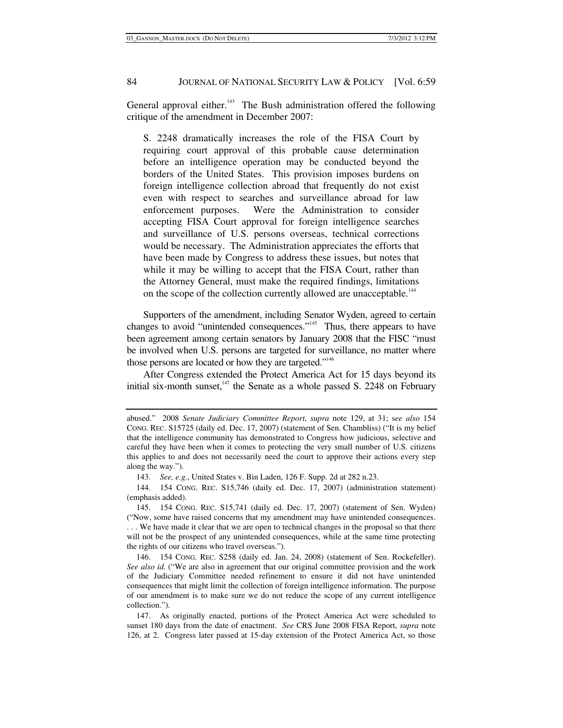General approval either. $143$  The Bush administration offered the following critique of the amendment in December 2007:

S. 2248 dramatically increases the role of the FISA Court by requiring court approval of this probable cause determination before an intelligence operation may be conducted beyond the borders of the United States. This provision imposes burdens on foreign intelligence collection abroad that frequently do not exist even with respect to searches and surveillance abroad for law enforcement purposes. Were the Administration to consider accepting FISA Court approval for foreign intelligence searches and surveillance of U.S. persons overseas, technical corrections would be necessary. The Administration appreciates the efforts that have been made by Congress to address these issues, but notes that while it may be willing to accept that the FISA Court, rather than the Attorney General, must make the required findings, limitations on the scope of the collection currently allowed are unacceptable.<sup>144</sup>

Supporters of the amendment, including Senator Wyden, agreed to certain changes to avoid "unintended consequences."<sup>145</sup> Thus, there appears to have been agreement among certain senators by January 2008 that the FISC "must be involved when U.S. persons are targeted for surveillance, no matter where those persons are located or how they are targeted."<sup>146</sup>

After Congress extended the Protect America Act for 15 days beyond its initial six-month sunset, $147$  the Senate as a whole passed S. 2248 on February

abused." 2008 *Senate Judiciary Committee Report*, *supra* note 129, at 31; s*ee also* 154 CONG. REC. S15725 (daily ed. Dec. 17, 2007) (statement of Sen. Chambliss) ("It is my belief that the intelligence community has demonstrated to Congress how judicious, selective and careful they have been when it comes to protecting the very small number of U.S. citizens this applies to and does not necessarily need the court to approve their actions every step along the way.").

 <sup>143.</sup> *See, e.g.*, United States v. Bin Laden, 126 F. Supp. 2d at 282 n.23.

 <sup>144. 154</sup> CONG. REC. S15,746 (daily ed. Dec. 17, 2007) (administration statement) (emphasis added).

 <sup>145. 154</sup> CONG. REC. S15,741 (daily ed. Dec. 17, 2007) (statement of Sen. Wyden) ("Now, some have raised concerns that my amendment may have unintended consequences. . . . We have made it clear that we are open to technical changes in the proposal so that there will not be the prospect of any unintended consequences, while at the same time protecting the rights of our citizens who travel overseas.").

 <sup>146. 154</sup> CONG. REC. S258 (daily ed. Jan. 24, 2008) (statement of Sen. Rockefeller). *See also id.* ("We are also in agreement that our original committee provision and the work of the Judiciary Committee needed refinement to ensure it did not have unintended consequences that might limit the collection of foreign intelligence information. The purpose of our amendment is to make sure we do not reduce the scope of any current intelligence collection.").

 <sup>147.</sup> As originally enacted, portions of the Protect America Act were scheduled to sunset 180 days from the date of enactment. *See* CRS June 2008 FISA Report, *supra* note 126, at 2. Congress later passed at 15-day extension of the Protect America Act, so those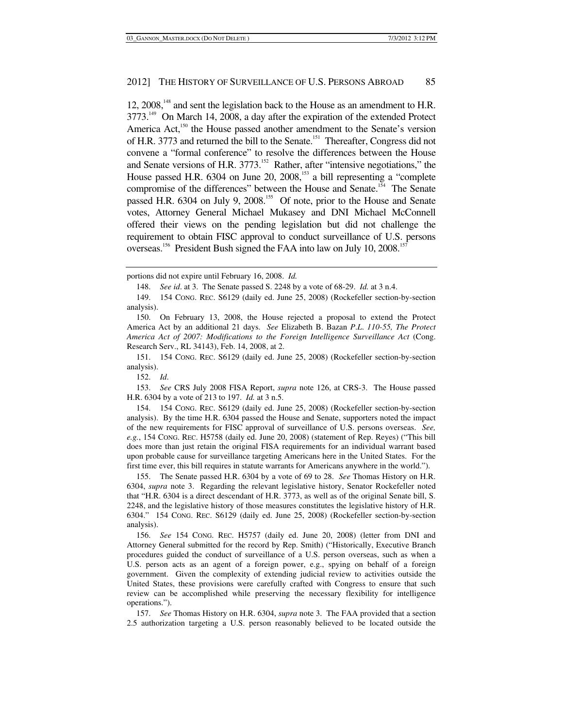12, 2008,<sup>148</sup> and sent the legislation back to the House as an amendment to H.R. 3773.<sup>149</sup> On March 14, 2008, a day after the expiration of the extended Protect America Act,<sup>150</sup> the House passed another amendment to the Senate's version of H.R. 3773 and returned the bill to the Senate.<sup>151</sup> Thereafter, Congress did not convene a "formal conference" to resolve the differences between the House and Senate versions of H.R.  $3773$ .<sup>152</sup> Rather, after "intensive negotiations," the House passed H.R.  $6304$  on June 20,  $2008$ ,  $^{153}$  a bill representing a "complete compromise of the differences" between the House and Senate.<sup>154</sup> The Senate passed H.R. 6304 on July 9, 2008.<sup>155</sup> Of note, prior to the House and Senate votes, Attorney General Michael Mukasey and DNI Michael McConnell offered their views on the pending legislation but did not challenge the requirement to obtain FISC approval to conduct surveillance of U.S. persons overseas.<sup>156</sup> President Bush signed the FAA into law on July 10, 2008.<sup>157</sup>

152. *Id*.

 153. *See* CRS July 2008 FISA Report, *supra* note 126, at CRS-3. The House passed H.R. 6304 by a vote of 213 to 197. *Id.* at 3 n.5.

 154. 154 CONG. REC. S6129 (daily ed. June 25, 2008) (Rockefeller section-by-section analysis). By the time H.R. 6304 passed the House and Senate, supporters noted the impact of the new requirements for FISC approval of surveillance of U.S. persons overseas. *See, e.g.*, 154 CONG. REC. H5758 (daily ed. June 20, 2008) (statement of Rep. Reyes) ("This bill does more than just retain the original FISA requirements for an individual warrant based upon probable cause for surveillance targeting Americans here in the United States. For the first time ever, this bill requires in statute warrants for Americans anywhere in the world.").

 155. The Senate passed H.R. 6304 by a vote of 69 to 28. *See* Thomas History on H.R. 6304, *supra* note 3. Regarding the relevant legislative history, Senator Rockefeller noted that "H.R. 6304 is a direct descendant of H.R. 3773, as well as of the original Senate bill, S. 2248, and the legislative history of those measures constitutes the legislative history of H.R. 6304." 154 CONG. REC. S6129 (daily ed. June 25, 2008) (Rockefeller section-by-section analysis).

 156. *See* 154 CONG. REC. H5757 (daily ed. June 20, 2008) (letter from DNI and Attorney General submitted for the record by Rep. Smith) ("Historically, Executive Branch procedures guided the conduct of surveillance of a U.S. person overseas, such as when a U.S. person acts as an agent of a foreign power, e.g., spying on behalf of a foreign government. Given the complexity of extending judicial review to activities outside the United States, these provisions were carefully crafted with Congress to ensure that such review can be accomplished while preserving the necessary flexibility for intelligence operations.").

 157. *See* Thomas History on H.R. 6304, *supra* note 3. The FAA provided that a section 2.5 authorization targeting a U.S. person reasonably believed to be located outside the

portions did not expire until February 16, 2008. *Id.*

 <sup>148.</sup> *See id*. at 3. The Senate passed S. 2248 by a vote of 68-29. *Id.* at 3 n.4.

 <sup>149. 154</sup> CONG. REC. S6129 (daily ed. June 25, 2008) (Rockefeller section-by-section analysis).

 <sup>150.</sup> On February 13, 2008, the House rejected a proposal to extend the Protect America Act by an additional 21 days. *See* Elizabeth B. Bazan *P*.*L*. *110-55, The Protect America Act of 2007: Modifications to the Foreign Intelligence Surveillance Act* (Cong. Research Serv., RL 34143), Feb. 14, 2008, at 2.

 <sup>151. 154</sup> CONG. REC. S6129 (daily ed. June 25, 2008) (Rockefeller section-by-section analysis).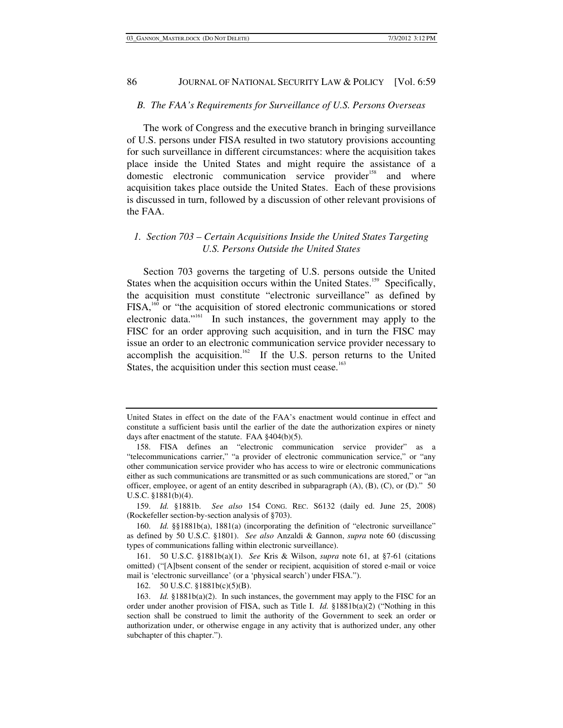## *B. The FAA's Requirements for Surveillance of U.S. Persons Overseas*

The work of Congress and the executive branch in bringing surveillance of U.S. persons under FISA resulted in two statutory provisions accounting for such surveillance in different circumstances: where the acquisition takes place inside the United States and might require the assistance of a domestic electronic communication service provider<sup>158</sup> and where acquisition takes place outside the United States. Each of these provisions is discussed in turn, followed by a discussion of other relevant provisions of the FAA.

## *1. Section 703 – Certain Acquisitions Inside the United States Targeting U.S. Persons Outside the United States*

Section 703 governs the targeting of U.S. persons outside the United States when the acquisition occurs within the United States.<sup>159</sup> Specifically, the acquisition must constitute "electronic surveillance" as defined by FISA,<sup>160</sup> or "the acquisition of stored electronic communications or stored electronic data."<sup>161</sup> In such instances, the government may apply to the FISC for an order approving such acquisition, and in turn the FISC may issue an order to an electronic communication service provider necessary to accomplish the acquisition.<sup>162</sup> If the U.S. person returns to the United States, the acquisition under this section must cease.<sup>163</sup>

United States in effect on the date of the FAA's enactment would continue in effect and constitute a sufficient basis until the earlier of the date the authorization expires or ninety days after enactment of the statute. FAA §404(b)(5).

 <sup>158.</sup> FISA defines an "electronic communication service provider" as a "telecommunications carrier," "a provider of electronic communication service," or "any other communication service provider who has access to wire or electronic communications either as such communications are transmitted or as such communications are stored," or "an officer, employee, or agent of an entity described in subparagraph  $(A)$ ,  $(B)$ ,  $(C)$ , or  $(D)$ ." 50 U.S.C. §1881(b)(4).

 <sup>159.</sup> *Id.* §1881b. *See also* 154 CONG. REC. S6132 (daily ed. June 25, 2008) (Rockefeller section-by-section analysis of §703).

 <sup>160.</sup> *Id.* §§1881b(a), 1881(a) (incorporating the definition of "electronic surveillance" as defined by 50 U.S.C. §1801). *See also* Anzaldi & Gannon, *supra* note 60 (discussing types of communications falling within electronic surveillance).

 <sup>161. 50</sup> U.S.C. §1881b(a)(1). *See* Kris & Wilson, *supra* note 61, at §7-61 (citations omitted) ("[A]bsent consent of the sender or recipient, acquisition of stored e-mail or voice mail is 'electronic surveillance' (or a 'physical search') under FISA.").

 <sup>162. 50</sup> U.S.C. §1881b(c)(5)(B).

 <sup>163.</sup> *Id.* §1881b(a)(2). In such instances, the government may apply to the FISC for an order under another provision of FISA, such as Title I. *Id.* §1881b(a)(2) ("Nothing in this section shall be construed to limit the authority of the Government to seek an order or authorization under, or otherwise engage in any activity that is authorized under, any other subchapter of this chapter.").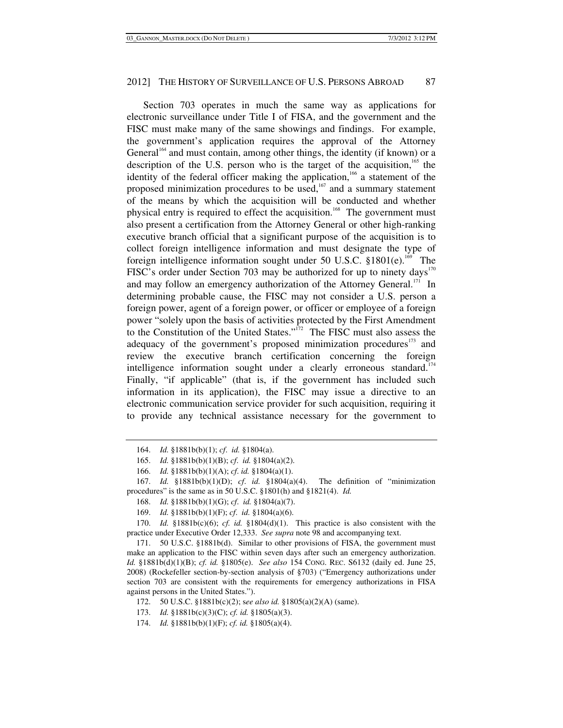Section 703 operates in much the same way as applications for electronic surveillance under Title I of FISA, and the government and the FISC must make many of the same showings and findings. For example, the government's application requires the approval of the Attorney General<sup> $164$ </sup> and must contain, among other things, the identity (if known) or a description of the U.S. person who is the target of the acquisition, $165$  the identity of the federal officer making the application,<sup>166</sup> a statement of the proposed minimization procedures to be used, $167$  and a summary statement of the means by which the acquisition will be conducted and whether physical entry is required to effect the acquisition.<sup>168</sup> The government must also present a certification from the Attorney General or other high-ranking executive branch official that a significant purpose of the acquisition is to collect foreign intelligence information and must designate the type of foreign intelligence information sought under 50 U.S.C.  $$1801(e).$ <sup>169</sup> The FISC's order under Section 703 may be authorized for up to ninety days<sup>170</sup> and may follow an emergency authorization of the Attorney General.<sup>171</sup> In determining probable cause, the FISC may not consider a U.S. person a foreign power, agent of a foreign power, or officer or employee of a foreign power "solely upon the basis of activities protected by the First Amendment to the Constitution of the United States."<sup>172</sup> The FISC must also assess the adequacy of the government's proposed minimization procedures<sup>173</sup> and review the executive branch certification concerning the foreign intelligence information sought under a clearly erroneous standard.<sup>174</sup> Finally, "if applicable" (that is, if the government has included such information in its application), the FISC may issue a directive to an electronic communication service provider for such acquisition, requiring it to provide any technical assistance necessary for the government to

 171. 50 U.S.C. §1881b(d). Similar to other provisions of FISA, the government must make an application to the FISC within seven days after such an emergency authorization. *Id.* §1881b(d)(1)(B); *cf. id.* §1805(e). *See also* 154 CONG. REC. S6132 (daily ed. June 25, 2008) (Rockefeller section-by-section analysis of §703) ("Emergency authorizations under section 703 are consistent with the requirements for emergency authorizations in FISA against persons in the United States.").

 <sup>164.</sup> *Id.* §1881b(b)(1); *cf*. *id.* §1804(a).

 <sup>165.</sup> *Id.* §1881b(b)(1)(B); *cf*. *id.* §1804(a)(2).

 <sup>166.</sup> *Id.* §1881b(b)(1)(A); *cf*. *id.* §1804(a)(1).

 <sup>167.</sup> *Id.* §1881b(b)(1)(D); *cf*. *id.* §1804(a)(4). The definition of "minimization procedures" is the same as in 50 U.S.C. §1801(h) and §1821(4). *Id.*

 <sup>168.</sup> *Id.* §1881b(b)(1)(G); *cf*. *id.* §1804(a)(7).

 <sup>169.</sup> *Id.* §1881b(b)(1)(F); *cf*. *id.* §1804(a)(6).

 <sup>170.</sup> *Id.* §1881b(c)(6); *cf. id.* §1804(d)(1). This practice is also consistent with the practice under Executive Order 12,333. *See supra* note 98 and accompanying text.

 <sup>172. 50</sup> U.S.C. §1881b(c)(2); s*ee also id.* §1805(a)(2)(A) (same).

 <sup>173.</sup> *Id.* §1881b(c)(3)(C); *cf. id.* §1805(a)(3).

 <sup>174.</sup> *Id.* §1881b(b)(1)(F); *cf. id.* §1805(a)(4).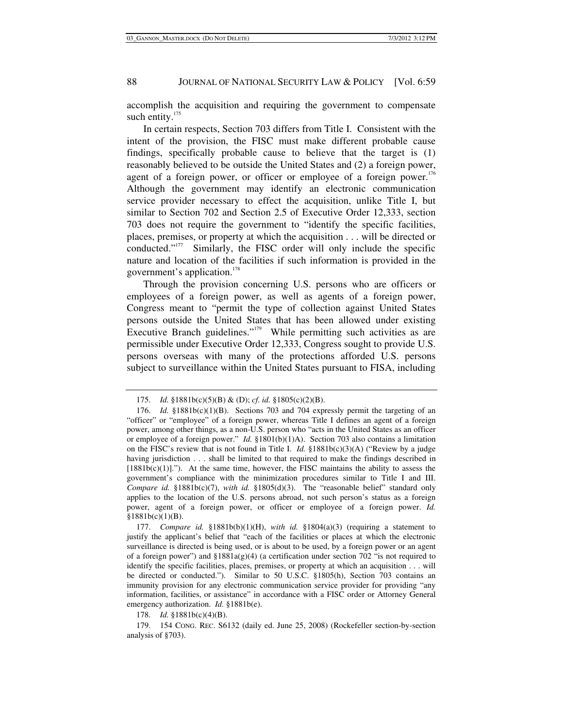accomplish the acquisition and requiring the government to compensate such entity.<sup>175</sup>

In certain respects, Section 703 differs from Title I. Consistent with the intent of the provision, the FISC must make different probable cause findings, specifically probable cause to believe that the target is (1) reasonably believed to be outside the United States and (2) a foreign power, agent of a foreign power, or officer or employee of a foreign power.<sup>176</sup> Although the government may identify an electronic communication service provider necessary to effect the acquisition, unlike Title I, but similar to Section 702 and Section 2.5 of Executive Order 12,333, section 703 does not require the government to "identify the specific facilities, places, premises, or property at which the acquisition . . . will be directed or conducted."177 Similarly, the FISC order will only include the specific nature and location of the facilities if such information is provided in the government's application.<sup>178</sup>

Through the provision concerning U.S. persons who are officers or employees of a foreign power, as well as agents of a foreign power, Congress meant to "permit the type of collection against United States persons outside the United States that has been allowed under existing Executive Branch guidelines."179 While permitting such activities as are permissible under Executive Order 12,333, Congress sought to provide U.S. persons overseas with many of the protections afforded U.S. persons subject to surveillance within the United States pursuant to FISA, including

178. *Id.* §1881b(c)(4)(B).

 <sup>175.</sup> *Id.* §1881b(c)(5)(B) & (D); *cf. id.* §1805(c)(2)(B).

 <sup>176.</sup> *Id.* §1881b(c)(1)(B). Sections 703 and 704 expressly permit the targeting of an "officer" or "employee" of a foreign power, whereas Title I defines an agent of a foreign power, among other things, as a non-U.S. person who "acts in the United States as an officer or employee of a foreign power." *Id.* §1801(b)(1)A). Section 703 also contains a limitation on the FISC's review that is not found in Title I. *Id.* §1881b(c)(3)(A) ("Review by a judge having jurisdiction . . . shall be limited to that required to make the findings described in  $[1881b(c)(1)]$ ."). At the same time, however, the FISC maintains the ability to assess the government's compliance with the minimization procedures similar to Title I and III. *Compare id.* §1881b(c)(7), *with id.* §1805(d)(3). The "reasonable belief" standard only applies to the location of the U.S. persons abroad, not such person's status as a foreign power, agent of a foreign power, or officer or employee of a foreign power. *Id.* §1881b(c)(1)(B).

 <sup>177.</sup> *Compare id.* §1881b(b)(1)(H), *with id.* §1804(a)(3) (requiring a statement to justify the applicant's belief that "each of the facilities or places at which the electronic surveillance is directed is being used, or is about to be used, by a foreign power or an agent of a foreign power") and §1881a(g)(4) (a certification under section 702 "is not required to identify the specific facilities, places, premises, or property at which an acquisition . . . will be directed or conducted."). Similar to 50 U.S.C. §1805(h), Section 703 contains an immunity provision for any electronic communication service provider for providing "any information, facilities, or assistance" in accordance with a FISC order or Attorney General emergency authorization. *Id.* §1881b(e).

 <sup>179. 154</sup> CONG. REC. S6132 (daily ed. June 25, 2008) (Rockefeller section-by-section analysis of §703).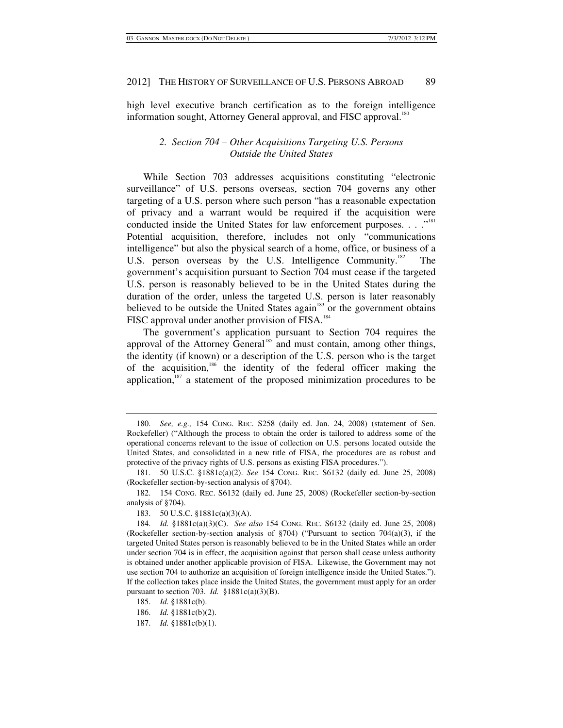high level executive branch certification as to the foreign intelligence information sought, Attorney General approval, and FISC approval.<sup>180</sup>

## *2. Section 704 – Other Acquisitions Targeting U.S. Persons Outside the United States*

While Section 703 addresses acquisitions constituting "electronic surveillance" of U.S. persons overseas, section 704 governs any other targeting of a U.S. person where such person "has a reasonable expectation of privacy and a warrant would be required if the acquisition were conducted inside the United States for law enforcement purposes. . . ."<sup>181</sup> Potential acquisition, therefore, includes not only "communications intelligence" but also the physical search of a home, office, or business of a U.S. person overseas by the U.S. Intelligence Community.<sup>182</sup> The government's acquisition pursuant to Section 704 must cease if the targeted U.S. person is reasonably believed to be in the United States during the duration of the order, unless the targeted U.S. person is later reasonably believed to be outside the United States again<sup>183</sup> or the government obtains FISC approval under another provision of FISA.<sup>184</sup>

The government's application pursuant to Section 704 requires the approval of the Attorney General<sup>185</sup> and must contain, among other things, the identity (if known) or a description of the U.S. person who is the target of the acquisition,<sup>186</sup> the identity of the federal officer making the application, $187$  a statement of the proposed minimization procedures to be

 182. 154 CONG. REC. S6132 (daily ed. June 25, 2008) (Rockefeller section-by-section analysis of §704).

 <sup>180.</sup> *See, e.g.,* 154 CONG. REC. S258 (daily ed. Jan. 24, 2008) (statement of Sen. Rockefeller) ("Although the process to obtain the order is tailored to address some of the operational concerns relevant to the issue of collection on U.S. persons located outside the United States, and consolidated in a new title of FISA, the procedures are as robust and protective of the privacy rights of U.S. persons as existing FISA procedures.").

 <sup>181. 50</sup> U.S.C. §1881c(a)(2). *See* 154 CONG. REC. S6132 (daily ed. June 25, 2008) (Rockefeller section-by-section analysis of §704).

 <sup>183. 50</sup> U.S.C. §1881c(a)(3)(A).

 <sup>184.</sup> *Id.* §1881c(a)(3)(C). *See also* 154 CONG. REC. S6132 (daily ed. June 25, 2008) (Rockefeller section-by-section analysis of  $\S704$ ) ("Pursuant to section 704(a)(3), if the targeted United States person is reasonably believed to be in the United States while an order under section 704 is in effect, the acquisition against that person shall cease unless authority is obtained under another applicable provision of FISA. Likewise, the Government may not use section 704 to authorize an acquisition of foreign intelligence inside the United States."). If the collection takes place inside the United States, the government must apply for an order pursuant to section 703. *Id.* §1881c(a)(3)(B).

 <sup>185.</sup> *Id.* §1881c(b).

 <sup>186.</sup> *Id.* §1881c(b)(2).

 <sup>187.</sup> *Id.* §1881c(b)(1).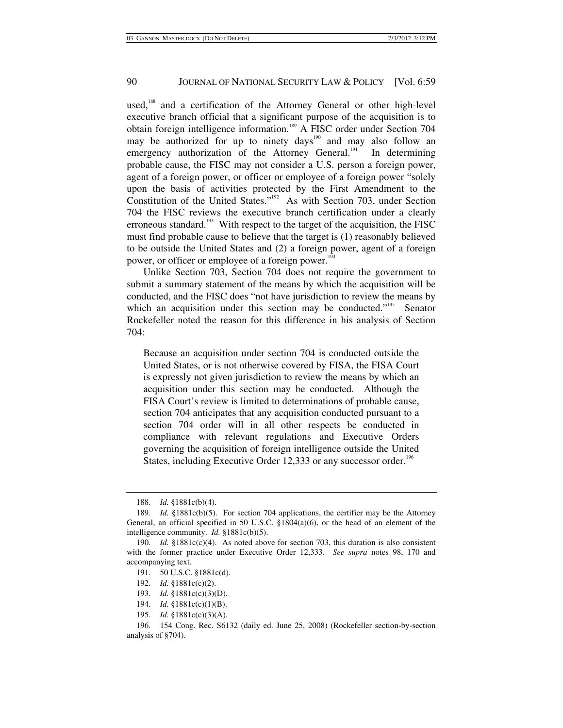used,<sup>188</sup> and a certification of the Attorney General or other high-level executive branch official that a significant purpose of the acquisition is to obtain foreign intelligence information.189 A FISC order under Section 704 may be authorized for up to ninety days<sup>190</sup> and may also follow an emergency authorization of the Attorney General.<sup>191</sup> In determining probable cause, the FISC may not consider a U.S. person a foreign power, agent of a foreign power, or officer or employee of a foreign power "solely upon the basis of activities protected by the First Amendment to the Constitution of the United States."<sup>192</sup> As with Section 703, under Section 704 the FISC reviews the executive branch certification under a clearly erroneous standard.<sup>193</sup> With respect to the target of the acquisition, the FISC must find probable cause to believe that the target is (1) reasonably believed to be outside the United States and (2) a foreign power, agent of a foreign power, or officer or employee of a foreign power.<sup>194</sup>

Unlike Section 703, Section 704 does not require the government to submit a summary statement of the means by which the acquisition will be conducted, and the FISC does "not have jurisdiction to review the means by which an acquisition under this section may be conducted."<sup>195</sup> Senator Rockefeller noted the reason for this difference in his analysis of Section 704:

Because an acquisition under section 704 is conducted outside the United States, or is not otherwise covered by FISA, the FISA Court is expressly not given jurisdiction to review the means by which an acquisition under this section may be conducted. Although the FISA Court's review is limited to determinations of probable cause, section 704 anticipates that any acquisition conducted pursuant to a section 704 order will in all other respects be conducted in compliance with relevant regulations and Executive Orders governing the acquisition of foreign intelligence outside the United States, including Executive Order 12,333 or any successor order.<sup>196</sup>

 <sup>188.</sup> *Id.* §1881c(b)(4).

 <sup>189.</sup> *Id.* §1881c(b)(5). For section 704 applications, the certifier may be the Attorney General, an official specified in 50 U.S.C.  $\S 1804(a)(6)$ , or the head of an element of the intelligence community. *Id.* §1881c(b)(5).

<sup>190.</sup> *Id.* §1881c(c)(4). As noted above for section 703, this duration is also consistent with the former practice under Executive Order 12,333. *See supra* notes 98, 170 and accompanying text.

 <sup>191. 50</sup> U.S.C. §1881c(d).

 <sup>192.</sup> *Id.* §1881c(c)(2).

 <sup>193.</sup> *Id.* §1881c(c)(3)(D).

 <sup>194.</sup> *Id.* §1881c(c)(1)(B).

 <sup>195.</sup> *Id.* §1881c(c)(3)(A).

 <sup>196. 154</sup> Cong. Rec. S6132 (daily ed. June 25, 2008) (Rockefeller section-by-section analysis of §704).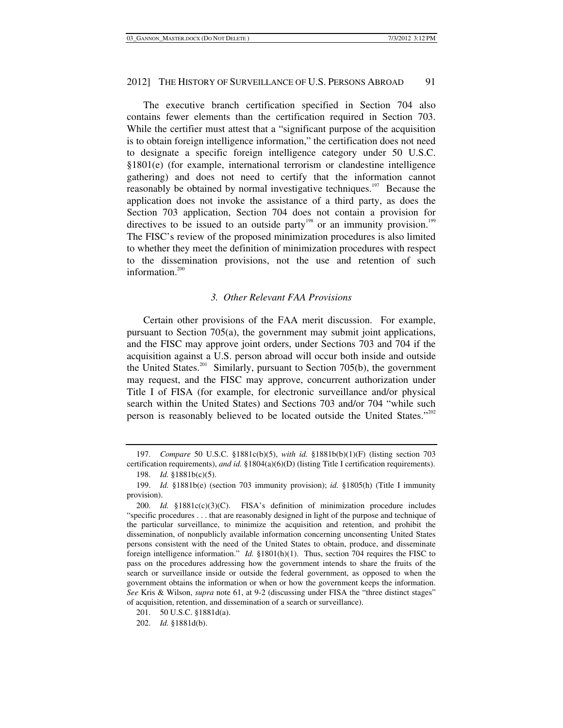The executive branch certification specified in Section 704 also contains fewer elements than the certification required in Section 703. While the certifier must attest that a "significant purpose of the acquisition is to obtain foreign intelligence information," the certification does not need to designate a specific foreign intelligence category under 50 U.S.C. §1801(e) (for example, international terrorism or clandestine intelligence gathering) and does not need to certify that the information cannot reasonably be obtained by normal investigative techniques.<sup>197</sup> Because the application does not invoke the assistance of a third party, as does the Section 703 application, Section 704 does not contain a provision for directives to be issued to an outside party<sup>198</sup> or an immunity provision.<sup>199</sup> The FISC's review of the proposed minimization procedures is also limited to whether they meet the definition of minimization procedures with respect to the dissemination provisions, not the use and retention of such information. $200$ 

### *3. Other Relevant FAA Provisions*

Certain other provisions of the FAA merit discussion. For example, pursuant to Section 705(a), the government may submit joint applications, and the FISC may approve joint orders, under Sections 703 and 704 if the acquisition against a U.S. person abroad will occur both inside and outside the United States.<sup>201</sup> Similarly, pursuant to Section 705(b), the government may request, and the FISC may approve, concurrent authorization under Title I of FISA (for example, for electronic surveillance and/or physical search within the United States) and Sections 703 and/or 704 "while such person is reasonably believed to be located outside the United States."<sup>202</sup>

 <sup>197.</sup> *Compare* 50 U.S.C. §1881c(b)(5), *with id.* §1881b(b)(1)(F) (listing section 703 certification requirements), *and id.* §1804(a)(6)(D) (listing Title I certification requirements). 198. *Id.* §1881b(c)(5).

 <sup>199.</sup> *Id.* §1881b(e) (section 703 immunity provision); *id.* §1805(h) (Title I immunity provision).

 <sup>200.</sup> *Id.* §1881c(c)(3)(C). FISA's definition of minimization procedure includes "specific procedures . . . that are reasonably designed in light of the purpose and technique of the particular surveillance, to minimize the acquisition and retention, and prohibit the dissemination, of nonpublicly available information concerning unconsenting United States persons consistent with the need of the United States to obtain, produce, and disseminate foreign intelligence information." *Id.* §1801(h)(1). Thus, section 704 requires the FISC to pass on the procedures addressing how the government intends to share the fruits of the search or surveillance inside or outside the federal government, as opposed to when the government obtains the information or when or how the government keeps the information. *See* Kris & Wilson, *supra* note 61, at 9-2 (discussing under FISA the "three distinct stages" of acquisition, retention, and dissemination of a search or surveillance).

 <sup>201. 50</sup> U.S.C. §1881d(a).

 <sup>202.</sup> *Id.* §1881d(b).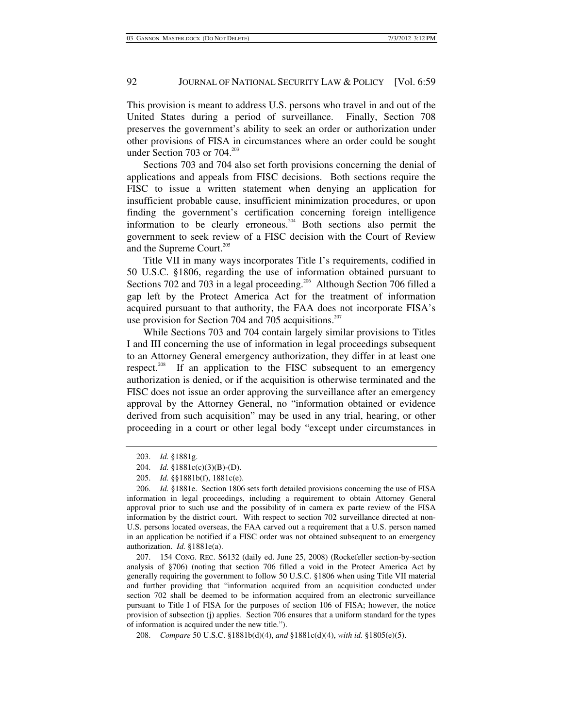This provision is meant to address U.S. persons who travel in and out of the United States during a period of surveillance. Finally, Section 708 preserves the government's ability to seek an order or authorization under other provisions of FISA in circumstances where an order could be sought under Section 703 or 704. $^{203}$ 

Sections 703 and 704 also set forth provisions concerning the denial of applications and appeals from FISC decisions. Both sections require the FISC to issue a written statement when denying an application for insufficient probable cause, insufficient minimization procedures, or upon finding the government's certification concerning foreign intelligence information to be clearly erroneous.<sup>204</sup> Both sections also permit the government to seek review of a FISC decision with the Court of Review and the Supreme Court.<sup>205</sup>

Title VII in many ways incorporates Title I's requirements, codified in 50 U.S.C. §1806, regarding the use of information obtained pursuant to Sections 702 and 703 in a legal proceeding.<sup>206</sup> Although Section 706 filled a gap left by the Protect America Act for the treatment of information acquired pursuant to that authority, the FAA does not incorporate FISA's use provision for Section 704 and 705 acquisitions.<sup>207</sup>

While Sections 703 and 704 contain largely similar provisions to Titles I and III concerning the use of information in legal proceedings subsequent to an Attorney General emergency authorization, they differ in at least one respect.<sup>208</sup> If an application to the FISC subsequent to an emergency authorization is denied, or if the acquisition is otherwise terminated and the FISC does not issue an order approving the surveillance after an emergency approval by the Attorney General, no "information obtained or evidence derived from such acquisition" may be used in any trial, hearing, or other proceeding in a court or other legal body "except under circumstances in

 <sup>203.</sup> *Id.* §1881g.

 <sup>204.</sup> *Id.* §1881c(c)(3)(B)-(D).

 <sup>205.</sup> *Id.* §§1881b(f), 1881c(e).

 <sup>206.</sup> *Id.* §1881e. Section 1806 sets forth detailed provisions concerning the use of FISA information in legal proceedings, including a requirement to obtain Attorney General approval prior to such use and the possibility of in camera ex parte review of the FISA information by the district court. With respect to section 702 surveillance directed at non-U.S. persons located overseas, the FAA carved out a requirement that a U.S. person named in an application be notified if a FISC order was not obtained subsequent to an emergency authorization. *Id.* §1881e(a).

 <sup>207. 154</sup> CONG. REC. S6132 (daily ed. June 25, 2008) (Rockefeller section-by-section analysis of §706) (noting that section 706 filled a void in the Protect America Act by generally requiring the government to follow 50 U.S.C. §1806 when using Title VII material and further providing that "information acquired from an acquisition conducted under section 702 shall be deemed to be information acquired from an electronic surveillance pursuant to Title I of FISA for the purposes of section 106 of FISA; however, the notice provision of subsection (j) applies. Section 706 ensures that a uniform standard for the types of information is acquired under the new title.").

 <sup>208.</sup> *Compare* 50 U.S.C. §1881b(d)(4), *and* §1881c(d)(4), *with id.* §1805(e)(5).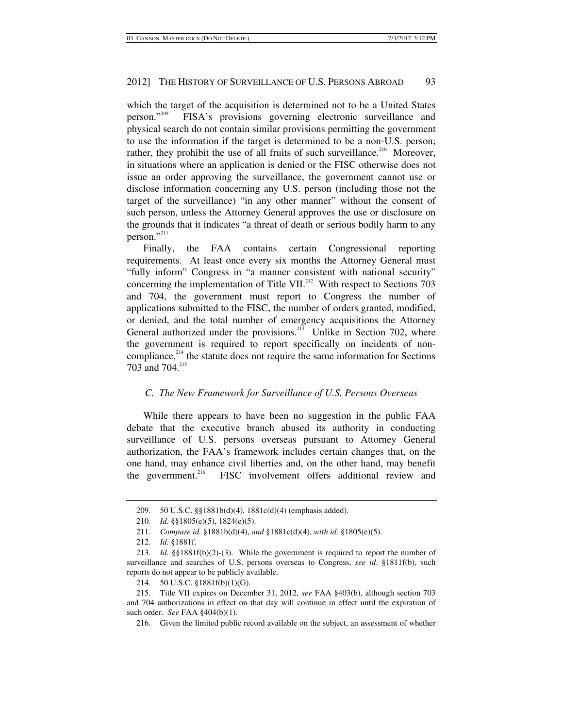which the target of the acquisition is determined not to be a United States person."<sup>209</sup> FISA's provisions governing electronic surveillance and physical search do not contain similar provisions permitting the government to use the information if the target is determined to be a non-U.S. person; rather, they prohibit the use of all fruits of such surveillance.<sup>210</sup> Moreover, in situations where an application is denied or the FISC otherwise does not issue an order approving the surveillance, the government cannot use or disclose information concerning any U.S. person (including those not the target of the surveillance) "in any other manner" without the consent of such person, unless the Attorney General approves the use or disclosure on the grounds that it indicates "a threat of death or serious bodily harm to any person."<sup>211</sup>

Finally, the FAA contains certain Congressional reporting requirements. At least once every six months the Attorney General must "fully inform" Congress in "a manner consistent with national security" concerning the implementation of Title VII.<sup>212</sup> With respect to Sections 703 and 704, the government must report to Congress the number of applications submitted to the FISC, the number of orders granted, modified, or denied, and the total number of emergency acquisitions the Attorney General authorized under the provisions.<sup>213</sup> Unlike in Section 702, where the government is required to report specifically on incidents of noncompliance, $2^{14}$  the statute does not require the same information for Sections 703 and 704.<sup>215</sup>

### *C. The New Framework for Surveillance of U.S. Persons Overseas*

While there appears to have been no suggestion in the public FAA debate that the executive branch abused its authority in conducting surveillance of U.S. persons overseas pursuant to Attorney General authorization, the FAA's framework includes certain changes that, on the one hand, may enhance civil liberties and, on the other hand, may benefit the government.<sup>216</sup> FISC involvement offers additional review and

 <sup>209. 50</sup> U.S.C. §§1881b(d)(4), 1881c(d)(4) (emphasis added).

 <sup>210.</sup> *Id.* §§1805(e)(5), 1824(e)(5).

 <sup>211.</sup> *Compare id.* §1881b(d)(4), *and* §1881c(d)(4), *with id.* §1805(e)(5).

 <sup>212.</sup> *Id.* §1881f.

 <sup>213.</sup> *Id.* §§1881f(b)(2)-(3). While the government is required to report the number of surveillance and searches of U.S. persons overseas to Congress, *see id*. §1811f(b), such reports do not appear to be publicly available.

 <sup>214. 50</sup> U.S.C. §1881f(b)(1)(G).

 <sup>215.</sup> Title VII expires on December 31, 2012, *see* FAA §403(b), although section 703 and 704 authorizations in effect on that day will continue in effect until the expiration of such order. *See* FAA §404(b)(1).

 <sup>216.</sup> Given the limited public record available on the subject, an assessment of whether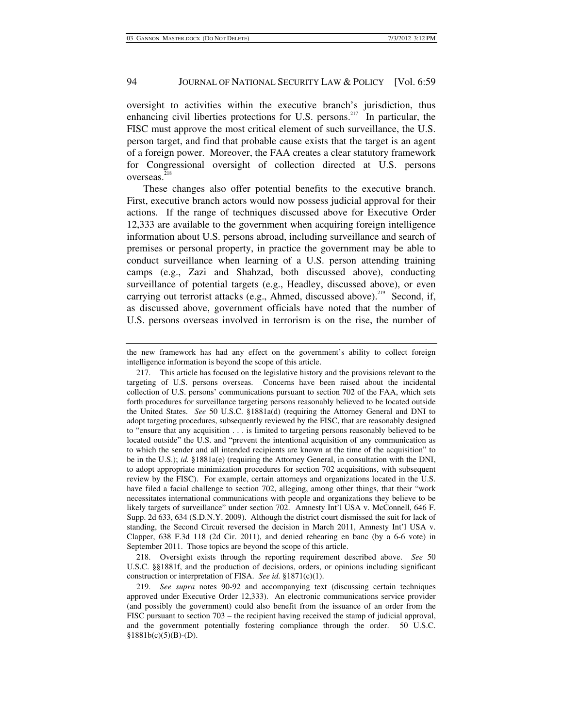oversight to activities within the executive branch's jurisdiction, thus enhancing civil liberties protections for U.S. persons.<sup>217</sup> In particular, the FISC must approve the most critical element of such surveillance, the U.S. person target, and find that probable cause exists that the target is an agent of a foreign power. Moreover, the FAA creates a clear statutory framework for Congressional oversight of collection directed at U.S. persons overseas.<sup>218</sup>

These changes also offer potential benefits to the executive branch. First, executive branch actors would now possess judicial approval for their actions. If the range of techniques discussed above for Executive Order 12,333 are available to the government when acquiring foreign intelligence information about U.S. persons abroad, including surveillance and search of premises or personal property, in practice the government may be able to conduct surveillance when learning of a U.S. person attending training camps (e.g., Zazi and Shahzad, both discussed above), conducting surveillance of potential targets (e.g., Headley, discussed above), or even carrying out terrorist attacks (e.g., Ahmed, discussed above).<sup>219</sup> Second, if, as discussed above, government officials have noted that the number of U.S. persons overseas involved in terrorism is on the rise, the number of

 218. Oversight exists through the reporting requirement described above. *See* 50 U.S.C. §§1881f, and the production of decisions, orders, or opinions including significant construction or interpretation of FISA. *See id.* §1871(c)(1).

the new framework has had any effect on the government's ability to collect foreign intelligence information is beyond the scope of this article.

 <sup>217.</sup> This article has focused on the legislative history and the provisions relevant to the targeting of U.S. persons overseas. Concerns have been raised about the incidental collection of U.S. persons' communications pursuant to section 702 of the FAA, which sets forth procedures for surveillance targeting persons reasonably believed to be located outside the United States. *See* 50 U.S.C. §1881a(d) (requiring the Attorney General and DNI to adopt targeting procedures, subsequently reviewed by the FISC, that are reasonably designed to "ensure that any acquisition . . . is limited to targeting persons reasonably believed to be located outside" the U.S. and "prevent the intentional acquisition of any communication as to which the sender and all intended recipients are known at the time of the acquisition" to be in the U.S.); *id.* §1881a(e) (requiring the Attorney General, in consultation with the DNI, to adopt appropriate minimization procedures for section 702 acquisitions, with subsequent review by the FISC). For example, certain attorneys and organizations located in the U.S. have filed a facial challenge to section 702, alleging, among other things, that their "work necessitates international communications with people and organizations they believe to be likely targets of surveillance" under section 702. Amnesty Int'l USA v. McConnell, 646 F. Supp. 2d 633, 634 (S.D.N.Y. 2009). Although the district court dismissed the suit for lack of standing, the Second Circuit reversed the decision in March 2011, Amnesty Int'l USA v. Clapper, 638 F.3d 118 (2d Cir. 2011), and denied rehearing en banc (by a 6-6 vote) in September 2011. Those topics are beyond the scope of this article.

 <sup>219.</sup> *See supra* notes 90-92 and accompanying text (discussing certain techniques approved under Executive Order 12,333). An electronic communications service provider (and possibly the government) could also benefit from the issuance of an order from the FISC pursuant to section 703 – the recipient having received the stamp of judicial approval, and the government potentially fostering compliance through the order. 50 U.S.C.  $§1881b(c)(5)(B)-(D).$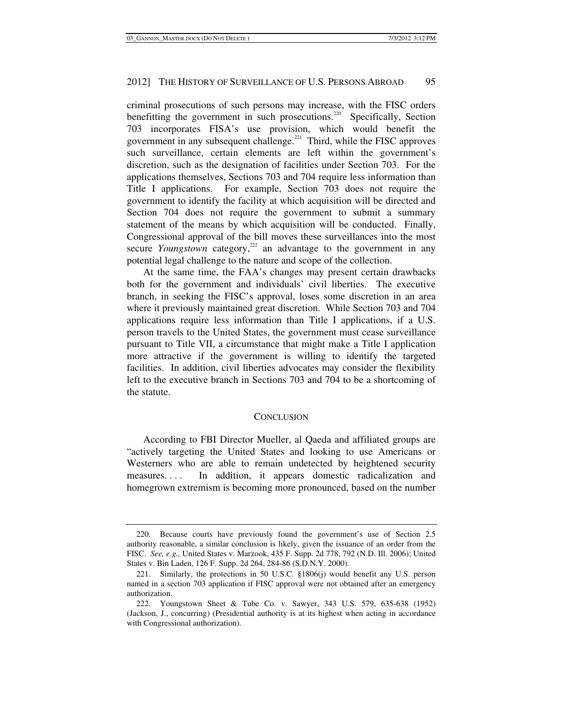criminal prosecutions of such persons may increase, with the FISC orders benefitting the government in such prosecutions.<sup>220</sup> Specifically, Section 703 incorporates FISA's use provision, which would benefit the government in any subsequent challenge.<sup>221</sup> Third, while the FISC approves such surveillance, certain elements are left within the government's discretion, such as the designation of facilities under Section 703. For the applications themselves, Sections 703 and 704 require less information than Title I applications. For example, Section 703 does not require the government to identify the facility at which acquisition will be directed and Section 704 does not require the government to submit a summary statement of the means by which acquisition will be conducted. Finally, Congressional approval of the bill moves these surveillances into the most secure *Youngstown* category,<sup>222</sup> an advantage to the government in any potential legal challenge to the nature and scope of the collection.

At the same time, the FAA's changes may present certain drawbacks both for the government and individuals' civil liberties. The executive branch, in seeking the FISC's approval, loses some discretion in an area where it previously maintained great discretion. While Section 703 and 704 applications require less information than Title I applications, if a U.S. person travels to the United States, the government must cease surveillance pursuant to Title VII, a circumstance that might make a Title I application more attractive if the government is willing to identify the targeted facilities. In addition, civil liberties advocates may consider the flexibility left to the executive branch in Sections 703 and 704 to be a shortcoming of the statute.

#### **CONCLUSION**

According to FBI Director Mueller, al Qaeda and affiliated groups are "actively targeting the United States and looking to use Americans or Westerners who are able to remain undetected by heightened security measures. . . . In addition, it appears domestic radicalization and homegrown extremism is becoming more pronounced, based on the number

 <sup>220.</sup> Because courts have previously found the government's use of Section 2.5 authority reasonable, a similar conclusion is likely, given the issuance of an order from the FISC. *See, e.g.,* United States v. Marzook, 435 F. Supp. 2d 778, 792 (N.D. Ill. 2006); United States v. Bin Laden, 126 F. Supp. 2d 264, 284-86 (S.D.N.Y. 2000).

 <sup>221.</sup> Similarly, the protections in 50 U.S.C. §1806(j) would benefit any U.S. person named in a section 703 application if FISC approval were not obtained after an emergency authorization.

 <sup>222.</sup> Youngstown Sheet & Tube Co. v. Sawyer, 343 U.S. 579, 635-638 (1952) (Jackson, J., concurring) (Presidential authority is at its highest when acting in accordance with Congressional authorization).